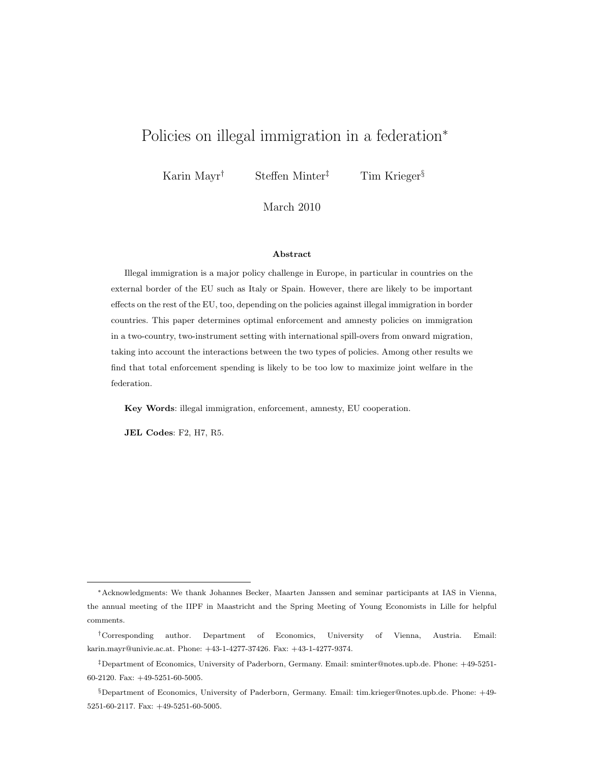# Policies on illegal immigration in a federation<sup>∗</sup>

Karin Mayr<sup>†</sup> Steffen Minter<sup>‡</sup> Tim Krieger<sup>§</sup>

March 2010

#### Abstract

Illegal immigration is a major policy challenge in Europe, in particular in countries on the external border of the EU such as Italy or Spain. However, there are likely to be important effects on the rest of the EU, too, depending on the policies against illegal immigration in border countries. This paper determines optimal enforcement and amnesty policies on immigration in a two-country, two-instrument setting with international spill-overs from onward migration, taking into account the interactions between the two types of policies. Among other results we find that total enforcement spending is likely to be too low to maximize joint welfare in the federation.

Key Words: illegal immigration, enforcement, amnesty, EU cooperation.

JEL Codes: F2, H7, R5.

<sup>∗</sup>Acknowledgments: We thank Johannes Becker, Maarten Janssen and seminar participants at IAS in Vienna, the annual meeting of the IIPF in Maastricht and the Spring Meeting of Young Economists in Lille for helpful comments.

<sup>†</sup>Corresponding author. Department of Economics, University of Vienna, Austria. Email: karin.mayr@univie.ac.at. Phone: +43-1-4277-37426. Fax: +43-1-4277-9374.

<sup>‡</sup>Department of Economics, University of Paderborn, Germany. Email: sminter@notes.upb.de. Phone: +49-5251- 60-2120. Fax: +49-5251-60-5005.

<sup>§</sup>Department of Economics, University of Paderborn, Germany. Email: tim.krieger@notes.upb.de. Phone: +49- 5251-60-2117. Fax: +49-5251-60-5005.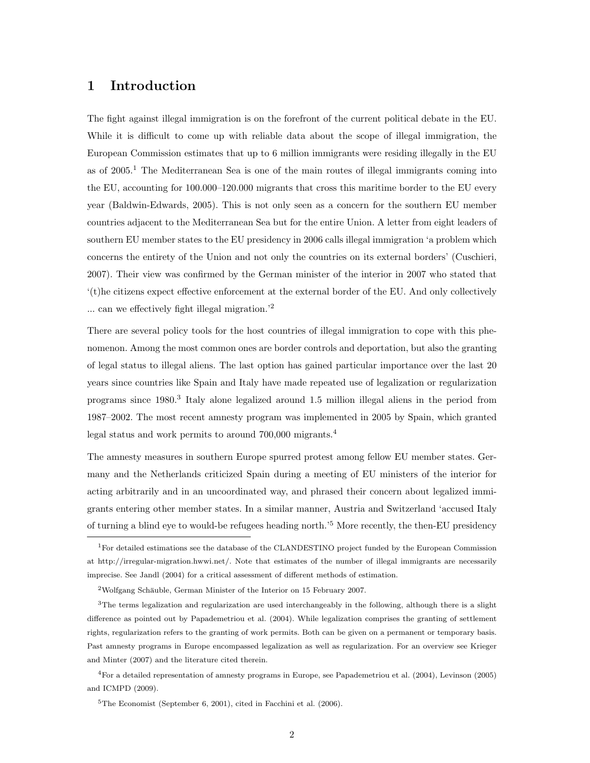## 1 Introduction

The fight against illegal immigration is on the forefront of the current political debate in the EU. While it is difficult to come up with reliable data about the scope of illegal immigration, the European Commission estimates that up to 6 million immigrants were residing illegally in the EU as of 2005.<sup>1</sup> The Mediterranean Sea is one of the main routes of illegal immigrants coming into the EU, accounting for 100.000–120.000 migrants that cross this maritime border to the EU every year (Baldwin-Edwards, 2005). This is not only seen as a concern for the southern EU member countries adjacent to the Mediterranean Sea but for the entire Union. A letter from eight leaders of southern EU member states to the EU presidency in 2006 calls illegal immigration 'a problem which concerns the entirety of the Union and not only the countries on its external borders' (Cuschieri, 2007). Their view was confirmed by the German minister of the interior in 2007 who stated that '(t)he citizens expect effective enforcement at the external border of the EU. And only collectively ... can we effectively fight illegal migration.'<sup>2</sup>

There are several policy tools for the host countries of illegal immigration to cope with this phenomenon. Among the most common ones are border controls and deportation, but also the granting of legal status to illegal aliens. The last option has gained particular importance over the last 20 years since countries like Spain and Italy have made repeated use of legalization or regularization programs since 1980.<sup>3</sup> Italy alone legalized around 1.5 million illegal aliens in the period from 1987–2002. The most recent amnesty program was implemented in 2005 by Spain, which granted legal status and work permits to around 700,000 migrants.<sup>4</sup>

The amnesty measures in southern Europe spurred protest among fellow EU member states. Germany and the Netherlands criticized Spain during a meeting of EU ministers of the interior for acting arbitrarily and in an uncoordinated way, and phrased their concern about legalized immigrants entering other member states. In a similar manner, Austria and Switzerland 'accused Italy of turning a blind eye to would-be refugees heading north.'<sup>5</sup> More recently, the then-EU presidency

<sup>4</sup>For a detailed representation of amnesty programs in Europe, see Papademetriou et al. (2004), Levinson (2005) and ICMPD (2009).

 ${}^{5}$ The Economist (September 6, 2001), cited in Facchini et al. (2006).

<sup>&</sup>lt;sup>1</sup>For detailed estimations see the database of the CLANDESTINO project funded by the European Commission at http://irregular-migration.hwwi.net/. Note that estimates of the number of illegal immigrants are necessarily imprecise. See Jandl (2004) for a critical assessment of different methods of estimation.

 $2Wolfgang Schäuble, German Minister of the Interior on 15 February 2007.$ 

<sup>3</sup>The terms legalization and regularization are used interchangeably in the following, although there is a slight difference as pointed out by Papademetriou et al. (2004). While legalization comprises the granting of settlement rights, regularization refers to the granting of work permits. Both can be given on a permanent or temporary basis. Past amnesty programs in Europe encompassed legalization as well as regularization. For an overview see Krieger and Minter (2007) and the literature cited therein.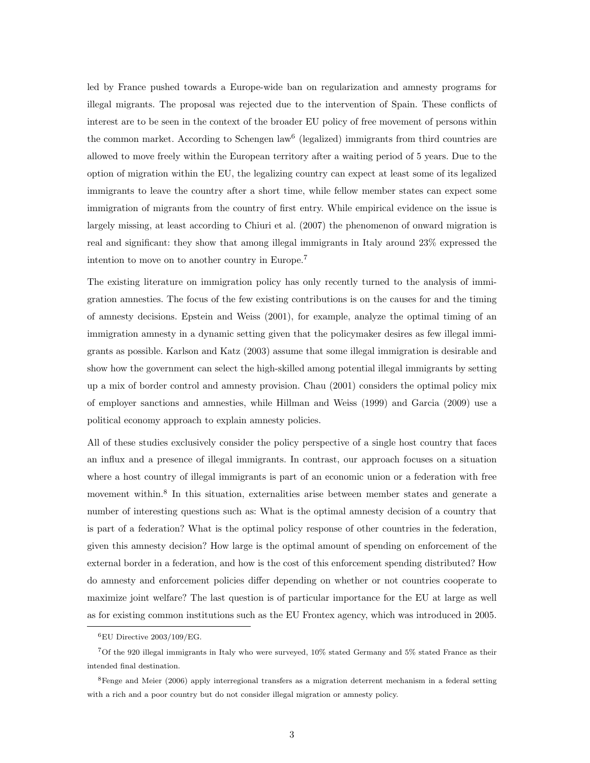led by France pushed towards a Europe-wide ban on regularization and amnesty programs for illegal migrants. The proposal was rejected due to the intervention of Spain. These conflicts of interest are to be seen in the context of the broader EU policy of free movement of persons within the common market. According to Schengen law<sup>6</sup> (legalized) immigrants from third countries are allowed to move freely within the European territory after a waiting period of 5 years. Due to the option of migration within the EU, the legalizing country can expect at least some of its legalized immigrants to leave the country after a short time, while fellow member states can expect some immigration of migrants from the country of first entry. While empirical evidence on the issue is largely missing, at least according to Chiuri et al. (2007) the phenomenon of onward migration is real and significant: they show that among illegal immigrants in Italy around 23% expressed the intention to move on to another country in Europe.<sup>7</sup>

The existing literature on immigration policy has only recently turned to the analysis of immigration amnesties. The focus of the few existing contributions is on the causes for and the timing of amnesty decisions. Epstein and Weiss (2001), for example, analyze the optimal timing of an immigration amnesty in a dynamic setting given that the policymaker desires as few illegal immigrants as possible. Karlson and Katz (2003) assume that some illegal immigration is desirable and show how the government can select the high-skilled among potential illegal immigrants by setting up a mix of border control and amnesty provision. Chau (2001) considers the optimal policy mix of employer sanctions and amnesties, while Hillman and Weiss (1999) and Garcia (2009) use a political economy approach to explain amnesty policies.

All of these studies exclusively consider the policy perspective of a single host country that faces an influx and a presence of illegal immigrants. In contrast, our approach focuses on a situation where a host country of illegal immigrants is part of an economic union or a federation with free movement within.<sup>8</sup> In this situation, externalities arise between member states and generate a number of interesting questions such as: What is the optimal amnesty decision of a country that is part of a federation? What is the optimal policy response of other countries in the federation, given this amnesty decision? How large is the optimal amount of spending on enforcement of the external border in a federation, and how is the cost of this enforcement spending distributed? How do amnesty and enforcement policies differ depending on whether or not countries cooperate to maximize joint welfare? The last question is of particular importance for the EU at large as well as for existing common institutions such as the EU Frontex agency, which was introduced in 2005.

 ${}^{6}$ EU Directive 2003/109/EG.

<sup>7</sup>Of the 920 illegal immigrants in Italy who were surveyed, 10% stated Germany and 5% stated France as their intended final destination.

<sup>&</sup>lt;sup>8</sup>Fenge and Meier (2006) apply interregional transfers as a migration deterrent mechanism in a federal setting with a rich and a poor country but do not consider illegal migration or amnesty policy.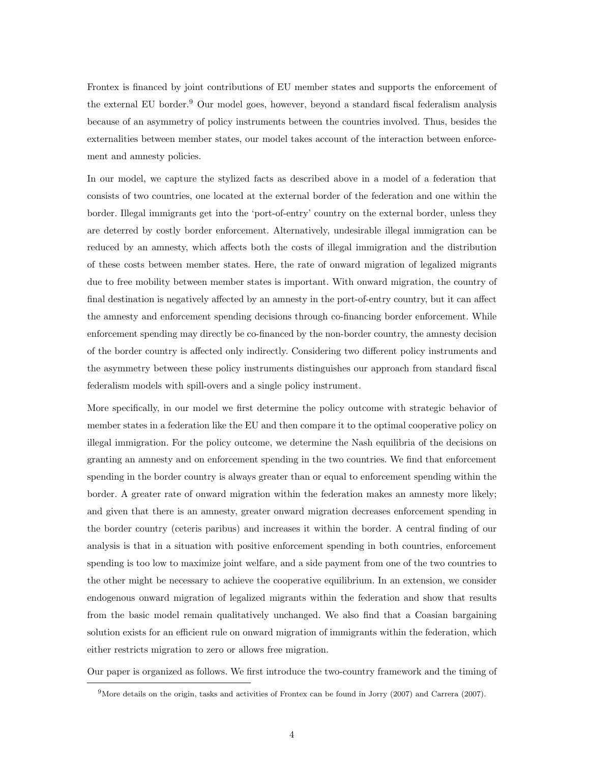Frontex is financed by joint contributions of EU member states and supports the enforcement of the external EU border.<sup>9</sup> Our model goes, however, beyond a standard fiscal federalism analysis because of an asymmetry of policy instruments between the countries involved. Thus, besides the externalities between member states, our model takes account of the interaction between enforcement and amnesty policies.

In our model, we capture the stylized facts as described above in a model of a federation that consists of two countries, one located at the external border of the federation and one within the border. Illegal immigrants get into the 'port-of-entry' country on the external border, unless they are deterred by costly border enforcement. Alternatively, undesirable illegal immigration can be reduced by an amnesty, which affects both the costs of illegal immigration and the distribution of these costs between member states. Here, the rate of onward migration of legalized migrants due to free mobility between member states is important. With onward migration, the country of final destination is negatively affected by an amnesty in the port-of-entry country, but it can affect the amnesty and enforcement spending decisions through co-financing border enforcement. While enforcement spending may directly be co-financed by the non-border country, the amnesty decision of the border country is affected only indirectly. Considering two different policy instruments and the asymmetry between these policy instruments distinguishes our approach from standard fiscal federalism models with spill-overs and a single policy instrument.

More specifically, in our model we first determine the policy outcome with strategic behavior of member states in a federation like the EU and then compare it to the optimal cooperative policy on illegal immigration. For the policy outcome, we determine the Nash equilibria of the decisions on granting an amnesty and on enforcement spending in the two countries. We find that enforcement spending in the border country is always greater than or equal to enforcement spending within the border. A greater rate of onward migration within the federation makes an amnesty more likely; and given that there is an amnesty, greater onward migration decreases enforcement spending in the border country (ceteris paribus) and increases it within the border. A central finding of our analysis is that in a situation with positive enforcement spending in both countries, enforcement spending is too low to maximize joint welfare, and a side payment from one of the two countries to the other might be necessary to achieve the cooperative equilibrium. In an extension, we consider endogenous onward migration of legalized migrants within the federation and show that results from the basic model remain qualitatively unchanged. We also find that a Coasian bargaining solution exists for an efficient rule on onward migration of immigrants within the federation, which either restricts migration to zero or allows free migration.

Our paper is organized as follows. We first introduce the two-country framework and the timing of

 $9$ More details on the origin, tasks and activities of Frontex can be found in Jorry (2007) and Carrera (2007).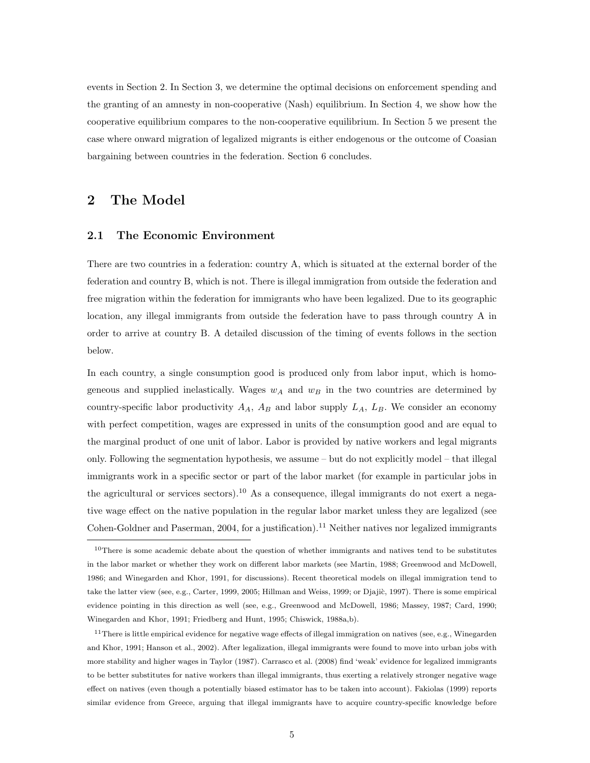events in Section 2. In Section 3, we determine the optimal decisions on enforcement spending and the granting of an amnesty in non-cooperative (Nash) equilibrium. In Section 4, we show how the cooperative equilibrium compares to the non-cooperative equilibrium. In Section 5 we present the case where onward migration of legalized migrants is either endogenous or the outcome of Coasian bargaining between countries in the federation. Section 6 concludes.

## 2 The Model

#### 2.1 The Economic Environment

There are two countries in a federation: country A, which is situated at the external border of the federation and country B, which is not. There is illegal immigration from outside the federation and free migration within the federation for immigrants who have been legalized. Due to its geographic location, any illegal immigrants from outside the federation have to pass through country A in order to arrive at country B. A detailed discussion of the timing of events follows in the section below.

In each country, a single consumption good is produced only from labor input, which is homogeneous and supplied inelastically. Wages  $w_A$  and  $w_B$  in the two countries are determined by country-specific labor productivity  $A_A$ ,  $A_B$  and labor supply  $L_A$ ,  $L_B$ . We consider an economy with perfect competition, wages are expressed in units of the consumption good and are equal to the marginal product of one unit of labor. Labor is provided by native workers and legal migrants only. Following the segmentation hypothesis, we assume – but do not explicitly model – that illegal immigrants work in a specific sector or part of the labor market (for example in particular jobs in the agricultural or services sectors).<sup>10</sup> As a consequence, illegal immigrants do not exert a negative wage effect on the native population in the regular labor market unless they are legalized (see Cohen-Goldner and Paserman, 2004, for a justification).<sup>11</sup> Neither natives nor legalized immigrants

 $10$ There is some academic debate about the question of whether immigrants and natives tend to be substitutes in the labor market or whether they work on different labor markets (see Martin, 1988; Greenwood and McDowell, 1986; and Winegarden and Khor, 1991, for discussions). Recent theoretical models on illegal immigration tend to take the latter view (see, e.g., Carter, 1999, 2005; Hillman and Weiss, 1999; or Djajic, 1997). There is some empirical evidence pointing in this direction as well (see, e.g., Greenwood and McDowell, 1986; Massey, 1987; Card, 1990; Winegarden and Khor, 1991; Friedberg and Hunt, 1995; Chiswick, 1988a,b).

 $11$ There is little empirical evidence for negative wage effects of illegal immigration on natives (see, e.g., Winegarden and Khor, 1991; Hanson et al., 2002). After legalization, illegal immigrants were found to move into urban jobs with more stability and higher wages in Taylor (1987). Carrasco et al. (2008) find 'weak' evidence for legalized immigrants to be better substitutes for native workers than illegal immigrants, thus exerting a relatively stronger negative wage effect on natives (even though a potentially biased estimator has to be taken into account). Fakiolas (1999) reports similar evidence from Greece, arguing that illegal immigrants have to acquire country-specific knowledge before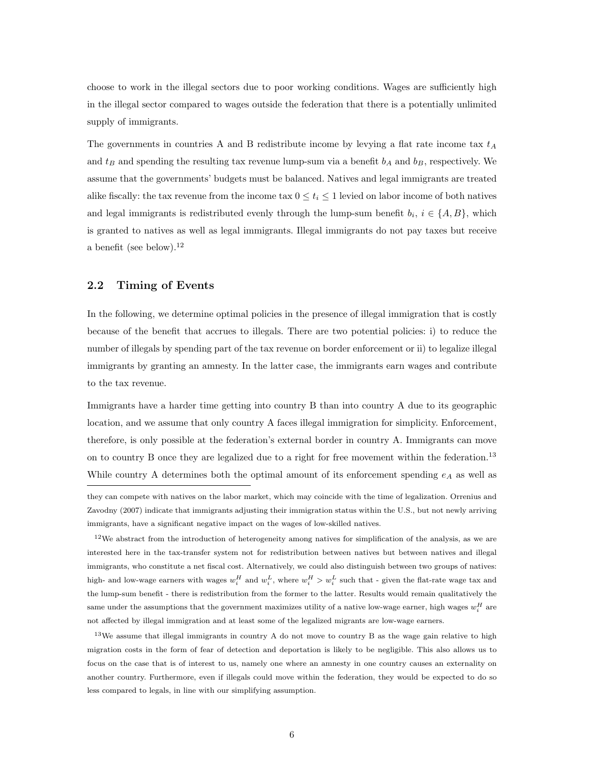choose to work in the illegal sectors due to poor working conditions. Wages are sufficiently high in the illegal sector compared to wages outside the federation that there is a potentially unlimited supply of immigrants.

The governments in countries A and B redistribute income by levying a flat rate income tax  $t_A$ and  $t_B$  and spending the resulting tax revenue lump-sum via a benefit  $b_A$  and  $b_B$ , respectively. We assume that the governments' budgets must be balanced. Natives and legal immigrants are treated alike fiscally: the tax revenue from the income tax  $0 \le t_i \le 1$  levied on labor income of both natives and legal immigrants is redistributed evenly through the lump-sum benefit  $b_i$ ,  $i \in \{A, B\}$ , which is granted to natives as well as legal immigrants. Illegal immigrants do not pay taxes but receive a benefit (see below).<sup>12</sup>

### 2.2 Timing of Events

In the following, we determine optimal policies in the presence of illegal immigration that is costly because of the benefit that accrues to illegals. There are two potential policies: i) to reduce the number of illegals by spending part of the tax revenue on border enforcement or ii) to legalize illegal immigrants by granting an amnesty. In the latter case, the immigrants earn wages and contribute to the tax revenue.

Immigrants have a harder time getting into country B than into country A due to its geographic location, and we assume that only country A faces illegal immigration for simplicity. Enforcement, therefore, is only possible at the federation's external border in country A. Immigrants can move on to country B once they are legalized due to a right for free movement within the federation.<sup>13</sup> While country A determines both the optimal amount of its enforcement spending  $e_A$  as well as

 $12$ We abstract from the introduction of heterogeneity among natives for simplification of the analysis, as we are interested here in the tax-transfer system not for redistribution between natives but between natives and illegal immigrants, who constitute a net fiscal cost. Alternatively, we could also distinguish between two groups of natives: high- and low-wage earners with wages  $w_i^H$  and  $w_i^L$ , where  $w_i^H > w_i^L$  such that - given the flat-rate wage tax and the lump-sum benefit - there is redistribution from the former to the latter. Results would remain qualitatively the same under the assumptions that the government maximizes utility of a native low-wage earner, high wages  $w_i^H$  are not affected by illegal immigration and at least some of the legalized migrants are low-wage earners.

 $13\text{We assume that illegal imp grants in country A do not move to country B as the wage gain relative to high.}$ migration costs in the form of fear of detection and deportation is likely to be negligible. This also allows us to focus on the case that is of interest to us, namely one where an amnesty in one country causes an externality on another country. Furthermore, even if illegals could move within the federation, they would be expected to do so less compared to legals, in line with our simplifying assumption.

they can compete with natives on the labor market, which may coincide with the time of legalization. Orrenius and Zavodny (2007) indicate that immigrants adjusting their immigration status within the U.S., but not newly arriving immigrants, have a significant negative impact on the wages of low-skilled natives.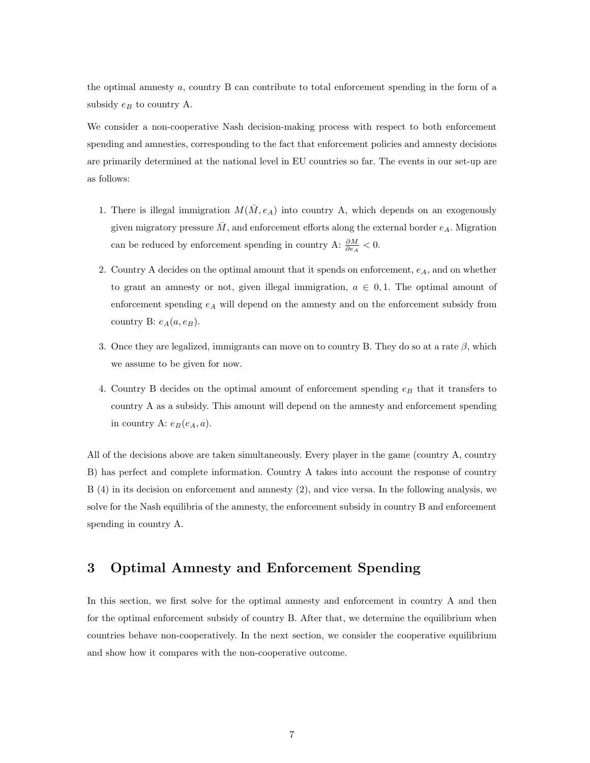the optimal amnesty a, country B can contribute to total enforcement spending in the form of a subsidy  $e_B$  to country A.

We consider a non-cooperative Nash decision-making process with respect to both enforcement spending and amnesties, corresponding to the fact that enforcement policies and amnesty decisions are primarily determined at the national level in EU countries so far. The events in our set-up are as follows:

- 1. There is illegal immigration  $M(\overline{M}, e_A)$  into country A, which depends on an exogenously given migratory pressure  $\overline{M}$ , and enforcement efforts along the external border  $e_A$ . Migration can be reduced by enforcement spending in country A:  $\frac{\partial M}{\partial e_A} < 0$ .
- 2. Country A decides on the optimal amount that it spends on enforcement,  $e_A$ , and on whether to grant an amnesty or not, given illegal immigration,  $a \in [0, 1]$ . The optimal amount of enforcement spending  $e_A$  will depend on the amnesty and on the enforcement subsidy from country B:  $e_A(a, e_B)$ .
- 3. Once they are legalized, immigrants can move on to country B. They do so at a rate  $\beta$ , which we assume to be given for now.
- 4. Country B decides on the optimal amount of enforcement spending  $e_B$  that it transfers to country A as a subsidy. This amount will depend on the amnesty and enforcement spending in country A:  $e_B(e_A, a)$ .

All of the decisions above are taken simultaneously. Every player in the game (country A, country B) has perfect and complete information. Country A takes into account the response of country B (4) in its decision on enforcement and amnesty (2), and vice versa. In the following analysis, we solve for the Nash equilibria of the amnesty, the enforcement subsidy in country B and enforcement spending in country A.

## 3 Optimal Amnesty and Enforcement Spending

In this section, we first solve for the optimal amnesty and enforcement in country A and then for the optimal enforcement subsidy of country B. After that, we determine the equilibrium when countries behave non-cooperatively. In the next section, we consider the cooperative equilibrium and show how it compares with the non-cooperative outcome.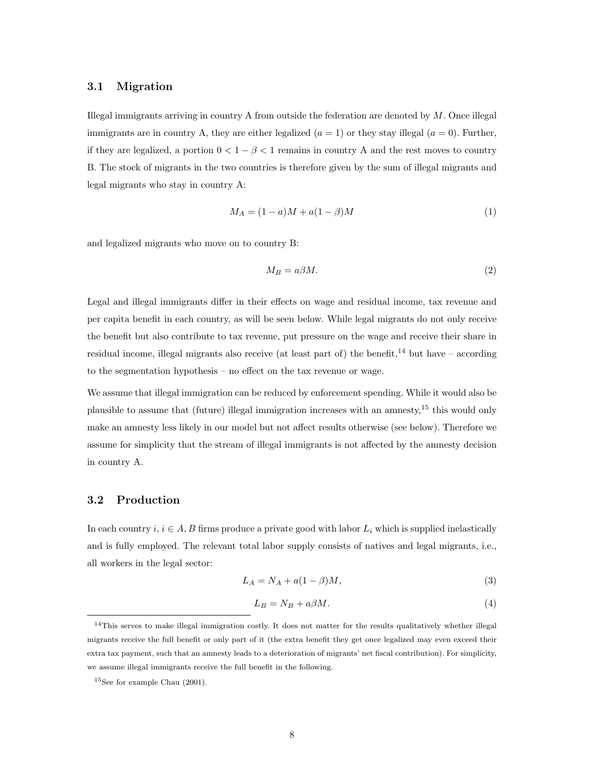### 3.1 Migration

Illegal immigrants arriving in country A from outside the federation are denoted by  $M$ . Once illegal immigrants are in country A, they are either legalized  $(a = 1)$  or they stay illegal  $(a = 0)$ . Further, if they are legalized, a portion  $0 < 1 - \beta < 1$  remains in country A and the rest moves to country B. The stock of migrants in the two countries is therefore given by the sum of illegal migrants and legal migrants who stay in country A:

$$
M_A = (1 - a)M + a(1 - \beta)M
$$
\n(1)

and legalized migrants who move on to country B:

$$
M_B = a\beta M. \tag{2}
$$

Legal and illegal immigrants differ in their effects on wage and residual income, tax revenue and per capita benefit in each country, as will be seen below. While legal migrants do not only receive the benefit but also contribute to tax revenue, put pressure on the wage and receive their share in residual income, illegal migrants also receive (at least part of) the benefit,<sup>14</sup> but have – according to the segmentation hypothesis – no effect on the tax revenue or wage.

We assume that illegal immigration can be reduced by enforcement spending. While it would also be plausible to assume that (future) illegal immigration increases with an amnesty,<sup>15</sup> this would only make an amnesty less likely in our model but not affect results otherwise (see below). Therefore we assume for simplicity that the stream of illegal immigrants is not affected by the amnesty decision in country A.

### 3.2 Production

In each country  $i, i \in A$ , B firms produce a private good with labor  $L_i$  which is supplied inelastically and is fully employed. The relevant total labor supply consists of natives and legal migrants, i.e., all workers in the legal sector:

$$
L_A = N_A + a(1 - \beta)M,\t\t(3)
$$

$$
L_B = N_B + a\beta M. \tag{4}
$$

<sup>14</sup>This serves to make illegal immigration costly. It does not matter for the results qualitatively whether illegal migrants receive the full benefit or only part of it (the extra benefit they get once legalized may even exceed their extra tax payment, such that an amnesty leads to a deterioration of migrants' net fiscal contribution). For simplicity, we assume illegal immigrants receive the full benefit in the following.

<sup>15</sup>See for example Chau (2001).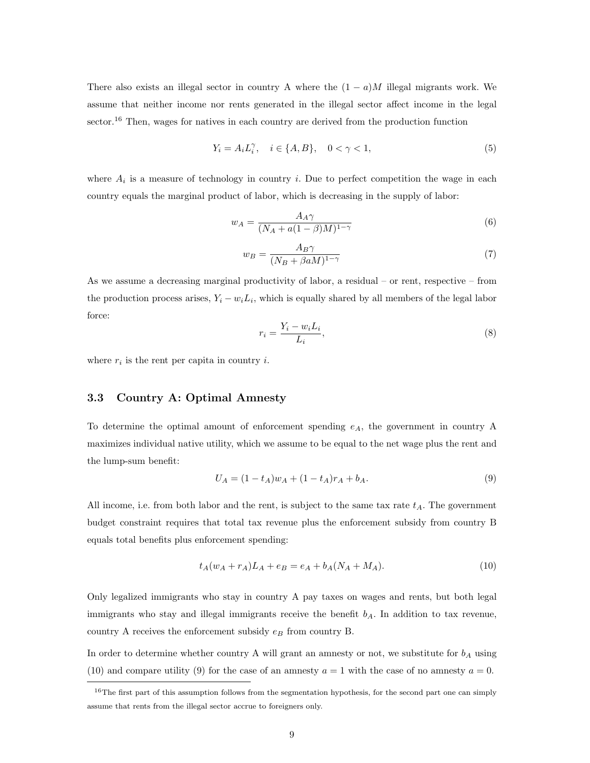There also exists an illegal sector in country A where the  $(1 - a)M$  illegal migrants work. We assume that neither income nor rents generated in the illegal sector affect income in the legal sector.<sup>16</sup> Then, wages for natives in each country are derived from the production function

$$
Y_i = A_i L_i^{\gamma}, \quad i \in \{A, B\}, \quad 0 < \gamma < 1,
$$
\n
$$
(5)
$$

where  $A_i$  is a measure of technology in country i. Due to perfect competition the wage in each country equals the marginal product of labor, which is decreasing in the supply of labor:

$$
w_A = \frac{A_A \gamma}{(N_A + a(1 - \beta)M)^{1 - \gamma}}
$$
\n<sup>(6)</sup>

$$
w_B = \frac{A_B \gamma}{(N_B + \beta a M)^{1-\gamma}}
$$
\n(7)

As we assume a decreasing marginal productivity of labor, a residual – or rent, respective – from the production process arises,  $Y_i - w_i L_i$ , which is equally shared by all members of the legal labor force:

$$
r_i = \frac{Y_i - w_i L_i}{L_i},\tag{8}
$$

where  $r_i$  is the rent per capita in country i.

### 3.3 Country A: Optimal Amnesty

To determine the optimal amount of enforcement spending  $e_A$ , the government in country A maximizes individual native utility, which we assume to be equal to the net wage plus the rent and the lump-sum benefit:

$$
U_A = (1 - t_A)w_A + (1 - t_A)r_A + b_A.
$$
\n(9)

All income, i.e. from both labor and the rent, is subject to the same tax rate  $t_A$ . The government budget constraint requires that total tax revenue plus the enforcement subsidy from country B equals total benefits plus enforcement spending:

$$
t_A(w_A + r_A)L_A + e_B = e_A + b_A(N_A + M_A). \tag{10}
$$

Only legalized immigrants who stay in country A pay taxes on wages and rents, but both legal immigrants who stay and illegal immigrants receive the benefit  $b<sub>A</sub>$ . In addition to tax revenue, country A receives the enforcement subsidy  $e_B$  from country B.

In order to determine whether country A will grant an amnesty or not, we substitute for  $b<sub>A</sub>$  using (10) and compare utility (9) for the case of an amnesty  $a = 1$  with the case of no amnesty  $a = 0$ .

 $16$ The first part of this assumption follows from the segmentation hypothesis, for the second part one can simply assume that rents from the illegal sector accrue to foreigners only.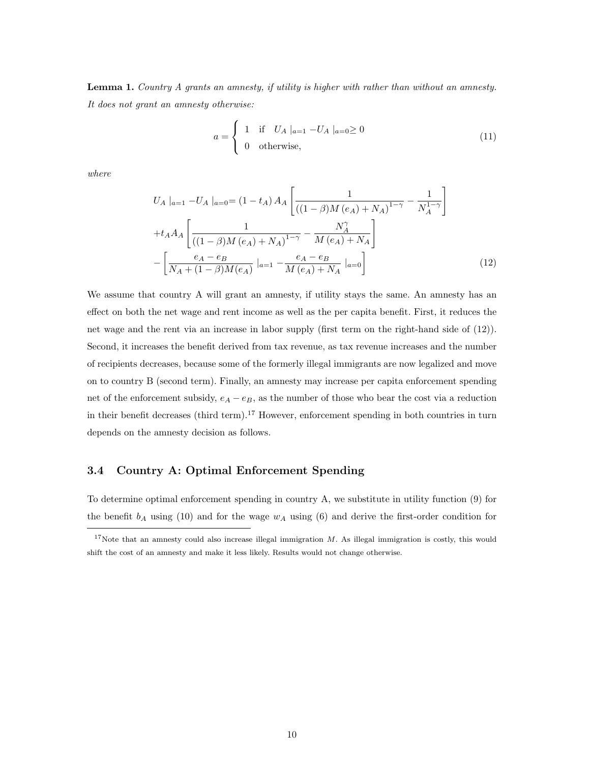Lemma 1. Country A grants an amnesty, if utility is higher with rather than without an amnesty. It does not grant an amnesty otherwise:

$$
a = \begin{cases} 1 & \text{if } U_A \mid_{a=1} -U_A \mid_{a=0} \ge 0 \\ 0 & \text{otherwise,} \end{cases} \tag{11}
$$

where

$$
U_{A}|_{a=1} - U_{A}|_{a=0} = (1 - t_{A}) A_{A} \left[ \frac{1}{((1 - \beta)M (e_{A}) + N_{A})^{1 - \gamma}} - \frac{1}{N_{A}^{1 - \gamma}} \right]
$$

$$
+ t_{A} A_{A} \left[ \frac{1}{((1 - \beta)M (e_{A}) + N_{A})^{1 - \gamma}} - \frac{N_{A}^{\gamma}}{M (e_{A}) + N_{A}} \right]
$$

$$
- \left[ \frac{e_{A} - e_{B}}{N_{A} + (1 - \beta)M (e_{A})} |_{a=1} - \frac{e_{A} - e_{B}}{M (e_{A}) + N_{A}} |_{a=0} \right]
$$
(12)

We assume that country A will grant an amnesty, if utility stays the same. An amnesty has an effect on both the net wage and rent income as well as the per capita benefit. First, it reduces the net wage and the rent via an increase in labor supply (first term on the right-hand side of (12)). Second, it increases the benefit derived from tax revenue, as tax revenue increases and the number of recipients decreases, because some of the formerly illegal immigrants are now legalized and move on to country B (second term). Finally, an amnesty may increase per capita enforcement spending net of the enforcement subsidy,  $e_A - e_B$ , as the number of those who bear the cost via a reduction in their benefit decreases (third term).<sup>17</sup> However, enforcement spending in both countries in turn depends on the amnesty decision as follows.

#### 3.4 Country A: Optimal Enforcement Spending

To determine optimal enforcement spending in country A, we substitute in utility function (9) for the benefit  $b_A$  using (10) and for the wage  $w_A$  using (6) and derive the first-order condition for

<sup>&</sup>lt;sup>17</sup>Note that an amnesty could also increase illegal immigration  $M$ . As illegal immigration is costly, this would shift the cost of an amnesty and make it less likely. Results would not change otherwise.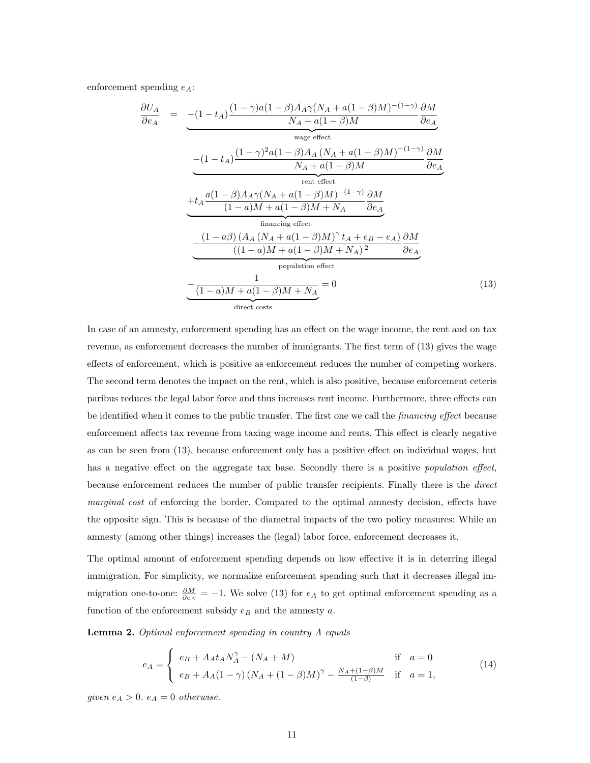enforcement spending  $e_A$ :

$$
\frac{\partial U_A}{\partial e_A} = - (1 - t_A) \frac{(1 - \gamma)a(1 - \beta)A_A \gamma (N_A + a(1 - \beta)M)^{-(1 - \gamma)}}{N_A + a(1 - \beta)M} \frac{\partial M}{\partial e_A}
$$
\n
$$
- (1 - t_A) \frac{(1 - \gamma)^2 a(1 - \beta)A_A (N_A + a(1 - \beta)M)^{-(1 - \gamma)}}{N_A + a(1 - \beta)M} \frac{\partial M}{\partial e_A}
$$
\n
$$
+ t_A \frac{a(1 - \beta)A_A \gamma (N_A + a(1 - \beta)M)^{-(1 - \gamma)}}{(1 - a)M + a(1 - \beta)M + N_A} \frac{\partial M}{\partial e_A}
$$
\n
$$
+ \frac{(1 - a\beta)(A_A (N_A + a(1 - \beta)M)^{\gamma} t_A + e_B - e_A)}{\text{financing effect}}
$$
\n
$$
- \frac{(1 - a\beta)(A_A (N_A + a(1 - \beta)M)^{\gamma} t_A + e_B - e_A)}{(1 - a)M + a(1 - \beta)M + N_A)^2} \frac{\partial M}{\partial e_A}
$$
\n
$$
+ \frac{1}{\text{population effect}}
$$
\n
$$
- \frac{1}{(1 - a)M + a(1 - \beta)M + N_A} = 0
$$
\n
$$
(13)
$$

In case of an amnesty, enforcement spending has an effect on the wage income, the rent and on tax revenue, as enforcement decreases the number of immigrants. The first term of (13) gives the wage effects of enforcement, which is positive as enforcement reduces the number of competing workers. The second term denotes the impact on the rent, which is also positive, because enforcement ceteris paribus reduces the legal labor force and thus increases rent income. Furthermore, three effects can be identified when it comes to the public transfer. The first one we call the financing effect because enforcement affects tax revenue from taxing wage income and rents. This effect is clearly negative as can be seen from (13), because enforcement only has a positive effect on individual wages, but has a negative effect on the aggregate tax base. Secondly there is a positive *population effect*, because enforcement reduces the number of public transfer recipients. Finally there is the direct marginal cost of enforcing the border. Compared to the optimal amnesty decision, effects have the opposite sign. This is because of the diametral impacts of the two policy measures: While an amnesty (among other things) increases the (legal) labor force, enforcement decreases it.

The optimal amount of enforcement spending depends on how effective it is in deterring illegal immigration. For simplicity, we normalize enforcement spending such that it decreases illegal immigration one-to-one:  $\frac{\partial M}{\partial e_A} = -1$ . We solve (13) for  $e_A$  to get optimal enforcement spending as a function of the enforcement subsidy  $e_B$  and the amnesty  $a$ .

Lemma 2. Optimal enforcement spending in country A equals

$$
e_A = \begin{cases} e_B + A_A t_A N_A^{\gamma} - (N_A + M) & \text{if } a = 0\\ e_B + A_A (1 - \gamma) (N_A + (1 - \beta)M)^{\gamma} - \frac{N_A + (1 - \beta)M}{(1 - \beta)} & \text{if } a = 1, \end{cases}
$$
(14)

given  $e_A > 0$ .  $e_A = 0$  otherwise.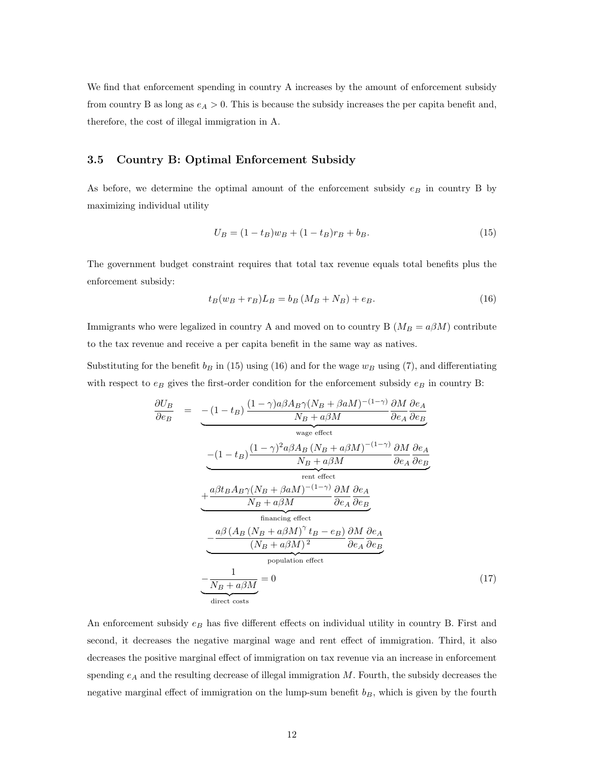We find that enforcement spending in country A increases by the amount of enforcement subsidy from country B as long as  $e_A > 0$ . This is because the subsidy increases the per capita benefit and, therefore, the cost of illegal immigration in A.

#### 3.5 Country B: Optimal Enforcement Subsidy

As before, we determine the optimal amount of the enforcement subsidy  $e_B$  in country B by maximizing individual utility

$$
U_B = (1 - t_B)w_B + (1 - t_B)r_B + b_B.
$$
\n(15)

The government budget constraint requires that total tax revenue equals total benefits plus the enforcement subsidy:

$$
t_B(w_B + r_B)L_B = b_B(M_B + N_B) + e_B.
$$
 (16)

Immigrants who were legalized in country A and moved on to country B  $(M_B = a\beta M)$  contribute to the tax revenue and receive a per capita benefit in the same way as natives.

Substituting for the benefit  $b_B$  in (15) using (16) and for the wage  $w_B$  using (7), and differentiating with respect to  $e_B$  gives the first-order condition for the enforcement subsidy  $e_B$  in country B:

$$
\frac{\partial U_B}{\partial e_B} = - (1 - t_B) \frac{(1 - \gamma)a\beta A_B \gamma (N_B + \beta aM)^{-(1 - \gamma)}}{N_B + a\beta M} \frac{\partial M}{\partial e_A} \frac{\partial e_A}{\partial e_B}
$$
\n
$$
- (1 - t_B) \frac{(1 - \gamma)^2 a\beta A_B (N_B + a\beta M)^{-(1 - \gamma)}}{N_B + a\beta M} \frac{\partial M}{\partial e_A} \frac{\partial e_A}{\partial e_B}
$$
\n
$$
+ \frac{a\beta t_B A_B \gamma (N_B + \beta aM)^{-(1 - \gamma)}}{N_B + a\beta M} \frac{\partial M}{\partial e_A} \frac{\partial e_A}{\partial e_B}
$$
\n
$$
+ \frac{a\beta (A_B (N_B + a\beta M)^{\gamma} t_B - e_B)}{\text{financing effect}}
$$
\n
$$
- \frac{a\beta (A_B (N_B + a\beta M)^{\gamma} t_B - e_B)}{(N_B + a\beta M)^2} \frac{\partial M}{\partial e_A} \frac{\partial e_A}{\partial e_B}
$$
\n
$$
+ \frac{1}{N_B + a\beta M} = 0 \tag{17}
$$

An enforcement subsidy  $e_B$  has five different effects on individual utility in country B. First and second, it decreases the negative marginal wage and rent effect of immigration. Third, it also decreases the positive marginal effect of immigration on tax revenue via an increase in enforcement spending  $e_A$  and the resulting decrease of illegal immigration  $M$ . Fourth, the subsidy decreases the negative marginal effect of immigration on the lump-sum benefit  $b_B$ , which is given by the fourth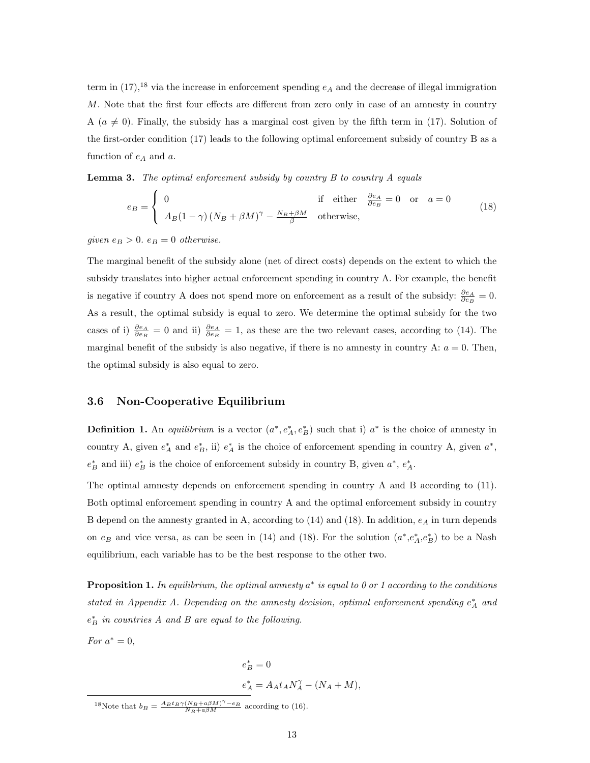term in  $(17)$ ,<sup>18</sup> via the increase in enforcement spending  $e_A$  and the decrease of illegal immigration M. Note that the first four effects are different from zero only in case of an amnesty in country A ( $a \neq 0$ ). Finally, the subsidy has a marginal cost given by the fifth term in (17). Solution of the first-order condition (17) leads to the following optimal enforcement subsidy of country B as a function of  $e_A$  and  $a$ .

**Lemma 3.** The optimal enforcement subsidy by country  $B$  to country  $A$  equals

$$
e_B = \begin{cases} 0 & \text{if either } \frac{\partial e_A}{\partial e_B} = 0 \text{ or } a = 0\\ A_B (1 - \gamma) (N_B + \beta M)^\gamma - \frac{N_B + \beta M}{\beta} & \text{otherwise,} \end{cases}
$$
(18)

given  $e_B > 0$ .  $e_B = 0$  otherwise.

The marginal benefit of the subsidy alone (net of direct costs) depends on the extent to which the subsidy translates into higher actual enforcement spending in country A. For example, the benefit is negative if country A does not spend more on enforcement as a result of the subsidy:  $\frac{\partial e_A}{\partial e_B} = 0$ . As a result, the optimal subsidy is equal to zero. We determine the optimal subsidy for the two cases of i)  $\frac{\partial e_A}{\partial e_B} = 0$  and ii)  $\frac{\partial e_A}{\partial e_B} = 1$ , as these are the two relevant cases, according to (14). The marginal benefit of the subsidy is also negative, if there is no amnesty in country A:  $a = 0$ . Then, the optimal subsidy is also equal to zero.

### 3.6 Non-Cooperative Equilibrium

**Definition 1.** An *equilibrium* is a vector  $(a^*, e_A^*, e_B^*)$  such that i)  $a^*$  is the choice of amnesty in country A, given  $e_A^*$  and  $e_B^*$ , ii)  $e_A^*$  is the choice of enforcement spending in country A, given  $a^*$ ,  $e_B^*$  and iii)  $e_B^*$  is the choice of enforcement subsidy in country B, given  $a^*$ ,  $e_A^*$ .

The optimal amnesty depends on enforcement spending in country A and B according to (11). Both optimal enforcement spending in country A and the optimal enforcement subsidy in country B depend on the amnesty granted in A, according to  $(14)$  and  $(18)$ . In addition,  $e_A$  in turn depends on  $e_B$  and vice versa, as can be seen in (14) and (18). For the solution  $(a^*, e_A^*, e_B^*)$  to be a Nash equilibrium, each variable has to be the best response to the other two.

**Proposition 1.** In equilibrium, the optimal amnesty  $a^*$  is equal to 0 or 1 according to the conditions stated in Appendix A. Depending on the amnesty decision, optimal enforcement spending  $e_A^*$  and  $e_B^*$  in countries A and B are equal to the following.

For  $a^* = 0$ ,

 $e_B^* = 0$  $e^*_A = A_A t_A N_A^{\gamma} - (N_A + M),$ 

<sup>&</sup>lt;sup>18</sup>Note that  $b_B = \frac{A_B t_B \gamma (N_B + a \beta M)^{\gamma} - e_B}{N_B + a \beta M}$  according to (16).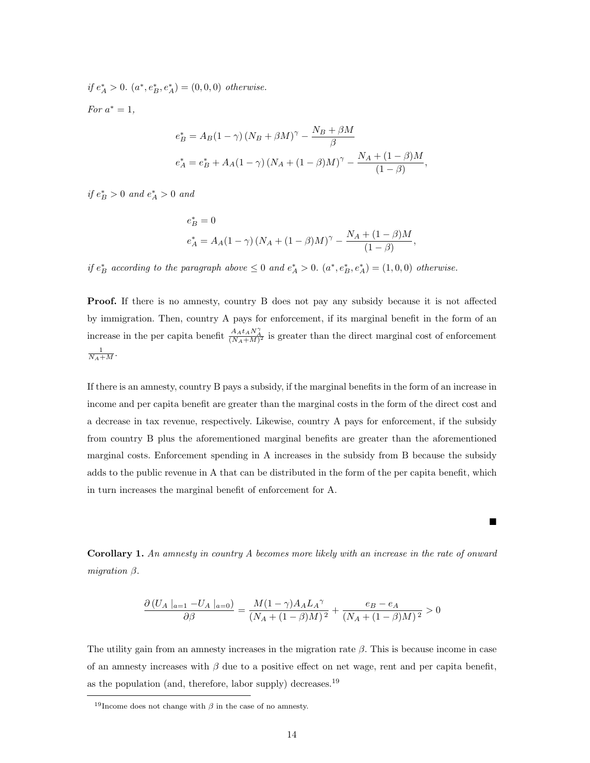if  $e_A^* > 0$ .  $(a^*, e_B^*, e_A^*) = (0, 0, 0)$  otherwise.

For  $a^* = 1$ ,

$$
e_{B}^{*} = A_{B}(1 - \gamma) (N_{B} + \beta M)^{\gamma} - \frac{N_{B} + \beta M}{\beta}
$$
  
\n
$$
e_{A}^{*} = e_{B}^{*} + A_{A}(1 - \gamma) (N_{A} + (1 - \beta)M)^{\gamma} - \frac{N_{A} + (1 - \beta)M}{(1 - \beta)},
$$

if  $e^*_B > 0$  and  $e^*_A > 0$  and

$$
e^{*}_{B} = 0
$$
  

$$
e^{*}_{A} = A_{A}(1 - \gamma) (N_{A} + (1 - \beta)M)^{\gamma} - \frac{N_{A} + (1 - \beta)M}{(1 - \beta)},
$$

if  $e^*_B$  according to the paragraph above  $\leq 0$  and  $e^*_A > 0$ .  $(a^*, e^*_B, e^*_A) = (1, 0, 0)$  otherwise.

Proof. If there is no amnesty, country B does not pay any subsidy because it is not affected by immigration. Then, country A pays for enforcement, if its marginal benefit in the form of an increase in the per capita benefit  $\frac{A_A t_A N_A^{\gamma}}{(N_A+M)^2}$  is greater than the direct marginal cost of enforcement  $\frac{1}{N_A+M}$ .

If there is an amnesty, country B pays a subsidy, if the marginal benefits in the form of an increase in income and per capita benefit are greater than the marginal costs in the form of the direct cost and a decrease in tax revenue, respectively. Likewise, country A pays for enforcement, if the subsidy from country B plus the aforementioned marginal benefits are greater than the aforementioned marginal costs. Enforcement spending in A increases in the subsidy from B because the subsidy adds to the public revenue in A that can be distributed in the form of the per capita benefit, which in turn increases the marginal benefit of enforcement for A.

Corollary 1. An amnesty in country A becomes more likely with an increase in the rate of onward migration  $\beta$ .

 $\blacksquare$ 

$$
\frac{\partial (U_A |_{a=1} - U_A |_{a=0})}{\partial \beta} = \frac{M(1 - \gamma)A_A L_A \gamma}{(N_A + (1 - \beta)M)^2} + \frac{e_B - e_A}{(N_A + (1 - \beta)M)^2} > 0
$$

The utility gain from an amnesty increases in the migration rate  $\beta$ . This is because income in case of an amnesty increases with  $\beta$  due to a positive effect on net wage, rent and per capita benefit, as the population (and, therefore, labor supply) decreases.<sup>19</sup>

<sup>&</sup>lt;sup>19</sup>Income does not change with  $\beta$  in the case of no amnesty.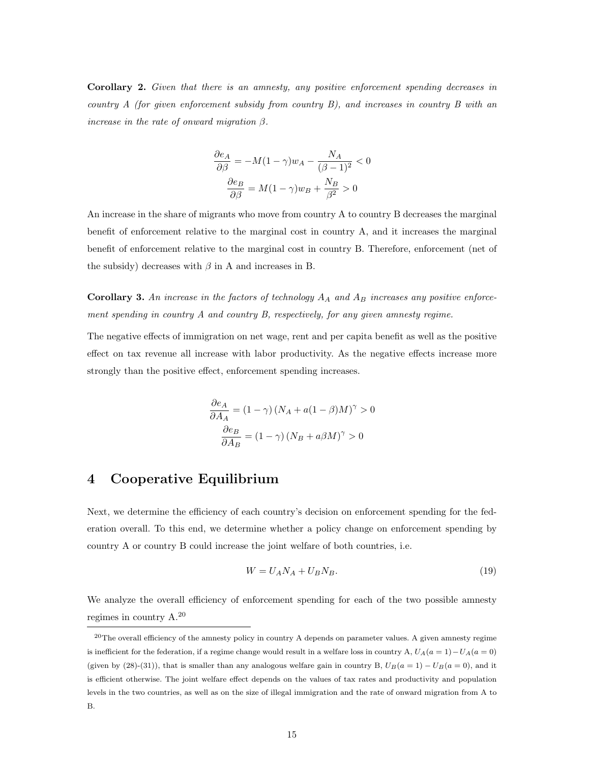Corollary 2. Given that there is an amnesty, any positive enforcement spending decreases in country A (for given enforcement subsidy from country B), and increases in country B with an increase in the rate of onward migration  $\beta$ .

$$
\frac{\partial e_A}{\partial \beta} = -M(1 - \gamma)w_A - \frac{N_A}{(\beta - 1)^2} < 0
$$

$$
\frac{\partial e_B}{\partial \beta} = M(1 - \gamma)w_B + \frac{N_B}{\beta^2} > 0
$$

An increase in the share of migrants who move from country A to country B decreases the marginal benefit of enforcement relative to the marginal cost in country A, and it increases the marginal benefit of enforcement relative to the marginal cost in country B. Therefore, enforcement (net of the subsidy) decreases with  $\beta$  in A and increases in B.

**Corollary 3.** An increase in the factors of technology  $A_A$  and  $A_B$  increases any positive enforcement spending in country A and country B, respectively, for any given amnesty regime.

The negative effects of immigration on net wage, rent and per capita benefit as well as the positive effect on tax revenue all increase with labor productivity. As the negative effects increase more strongly than the positive effect, enforcement spending increases.

$$
\frac{\partial e_A}{\partial A_A} = (1 - \gamma) (N_A + a(1 - \beta)M)^{\gamma} > 0
$$

$$
\frac{\partial e_B}{\partial A_B} = (1 - \gamma) (N_B + a\beta M)^{\gamma} > 0
$$

### 4 Cooperative Equilibrium

Next, we determine the efficiency of each country's decision on enforcement spending for the federation overall. To this end, we determine whether a policy change on enforcement spending by country A or country B could increase the joint welfare of both countries, i.e.

$$
W = U_A N_A + U_B N_B. \tag{19}
$$

We analyze the overall efficiency of enforcement spending for each of the two possible amnesty regimes in country A.<sup>20</sup>

 $^{20}$ The overall efficiency of the amnesty policy in country A depends on parameter values. A given amnesty regime is inefficient for the federation, if a regime change would result in a welfare loss in country A,  $U_A(a = 1) - U_A(a = 0)$ (given by (28)-(31)), that is smaller than any analogous welfare gain in country B,  $U_B(a = 1) - U_B(a = 0)$ , and it is efficient otherwise. The joint welfare effect depends on the values of tax rates and productivity and population levels in the two countries, as well as on the size of illegal immigration and the rate of onward migration from A to B.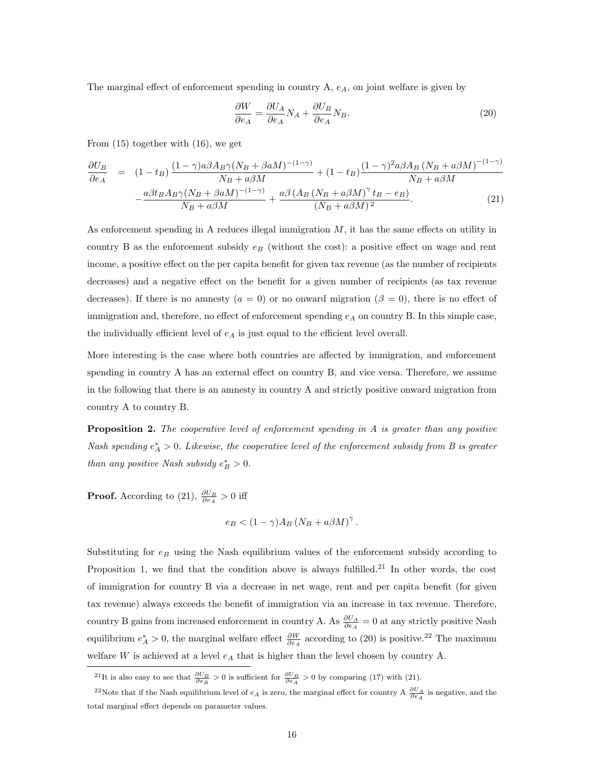The marginal effect of enforcement spending in country  $A$ ,  $e_A$ , on joint welfare is given by

$$
\frac{\partial W}{\partial e_A} = \frac{\partial U_A}{\partial e_A} N_A + \frac{\partial U_B}{\partial e_A} N_B.
$$
\n(20)

From (15) together with (16), we get

$$
\frac{\partial U_B}{\partial e_A} = (1 - t_B) \frac{(1 - \gamma)a\beta A_B \gamma (N_B + \beta aM)^{-(1 - \gamma)}}{N_B + a\beta M} + (1 - t_B) \frac{(1 - \gamma)^2 a\beta A_B (N_B + a\beta M)^{-(1 - \gamma)}}{N_B + a\beta M}
$$

$$
-\frac{a\beta t_B A_B \gamma (N_B + \beta aM)^{-(1 - \gamma)}}{N_B + a\beta M} + \frac{a\beta (A_B (N_B + a\beta M)^{\gamma} t_B - e_B)}{(N_B + a\beta M)^2}.
$$
(21)

As enforcement spending in A reduces illegal immigration  $M$ , it has the same effects on utility in country B as the enforcement subsidy  $e_B$  (without the cost): a positive effect on wage and rent income, a positive effect on the per capita benefit for given tax revenue (as the number of recipients decreases) and a negative effect on the benefit for a given number of recipients (as tax revenue decreases). If there is no amnesty  $(a = 0)$  or no onward migration  $(\beta = 0)$ , there is no effect of immigration and, therefore, no effect of enforcement spending  $e_A$  on country B. In this simple case, the individually efficient level of  $e_A$  is just equal to the efficient level overall.

More interesting is the case where both countries are affected by immigration, and enforcement spending in country A has an external effect on country B, and vice versa. Therefore, we assume in the following that there is an amnesty in country A and strictly positive onward migration from country A to country B.

**Proposition 2.** The cooperative level of enforcement spending in  $A$  is greater than any positive Nash spending  $e_A^* > 0$ . Likewise, the cooperative level of the enforcement subsidy from B is greater than any positive Nash subsidy  $e^*_{B} > 0$ .

**Proof.** According to (21),  $\frac{\partial U_B}{\partial e_A} > 0$  iff

$$
e_B < (1 - \gamma) A_B (N_B + a\beta M)^{\gamma}.
$$

Substituting for  $e_B$  using the Nash equilibrium values of the enforcement subsidy according to Proposition 1, we find that the condition above is always fulfilled.<sup>21</sup> In other words, the cost of immigration for country B via a decrease in net wage, rent and per capita benefit (for given tax revenue) always exceeds the benefit of immigration via an increase in tax revenue. Therefore, country B gains from increased enforcement in country A. As  $\frac{\partial U_A}{\partial e_A} = 0$  at any strictly positive Nash equilibrium  $e_A^* > 0$ , the marginal welfare effect  $\frac{\partial W}{\partial e_A}$  according to (20) is positive.<sup>22</sup> The maximum welfare  $W$  is achieved at a level  $e_A$  that is higher than the level chosen by country A.

<sup>&</sup>lt;sup>21</sup>It is also easy to see that  $\frac{\partial U_B}{\partial e_B} > 0$  is sufficient for  $\frac{\partial U_B}{\partial e_A} > 0$  by comparing (17) with (21).

<sup>&</sup>lt;sup>22</sup>Note that if the Nash equilibrium level of  $e_A$  is zero, the marginal effect for country A  $\frac{\partial U_A}{\partial e_A}$  is negative, and the total marginal effect depends on parameter values.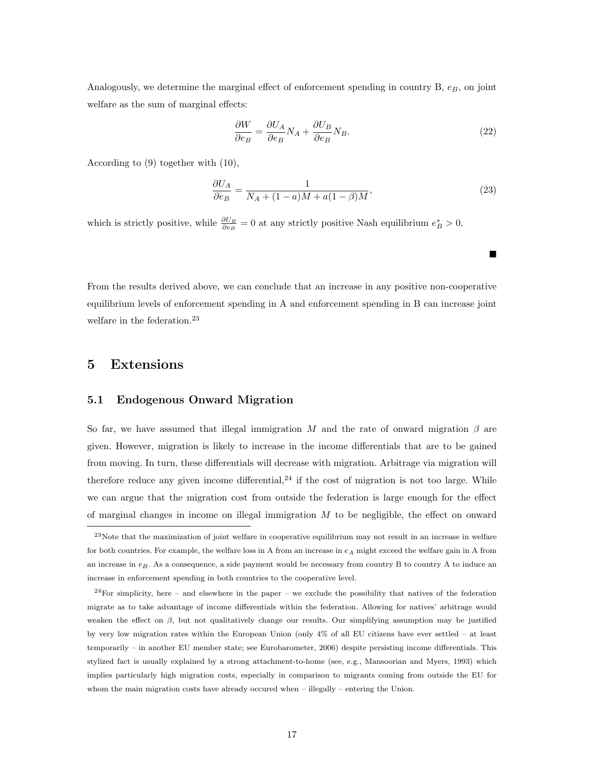Analogously, we determine the marginal effect of enforcement spending in country  $B$ ,  $e_B$ , on joint welfare as the sum of marginal effects:

$$
\frac{\partial W}{\partial e_B} = \frac{\partial U_A}{\partial e_B} N_A + \frac{\partial U_B}{\partial e_B} N_B.
$$
\n(22)

According to (9) together with (10),

$$
\frac{\partial U_A}{\partial e_B} = \frac{1}{N_A + (1 - a)M + a(1 - \beta)M},\tag{23}
$$

 $\blacksquare$ 

which is strictly positive, while  $\frac{\partial U_B}{\partial e_B} = 0$  at any strictly positive Nash equilibrium  $e_B^* > 0$ .

From the results derived above, we can conclude that an increase in any positive non-cooperative equilibrium levels of enforcement spending in A and enforcement spending in B can increase joint welfare in the federation.<sup>23</sup>

### 5 Extensions

### 5.1 Endogenous Onward Migration

So far, we have assumed that illegal immigration M and the rate of onward migration  $\beta$  are given. However, migration is likely to increase in the income differentials that are to be gained from moving. In turn, these differentials will decrease with migration. Arbitrage via migration will therefore reduce any given income differential,  $24$  if the cost of migration is not too large. While we can argue that the migration cost from outside the federation is large enough for the effect of marginal changes in income on illegal immigration  $M$  to be negligible, the effect on onward

 $^{23}$ Note that the maximization of joint welfare in cooperative equilibrium may not result in an increase in welfare for both countries. For example, the welfare loss in A from an increase in  $e_A$  might exceed the welfare gain in A from an increase in  $e_B$ . As a consequence, a side payment would be necessary from country B to country A to induce an increase in enforcement spending in both countries to the cooperative level.

 $^{24}$ For simplicity, here – and elsewhere in the paper – we exclude the possibility that natives of the federation migrate as to take advantage of income differentials within the federation. Allowing for natives' arbitrage would weaken the effect on  $\beta$ , but not qualitatively change our results. Our simplifying assumption may be justified by very low migration rates within the European Union (only 4% of all EU citizens have ever settled – at least temporarily – in another EU member state; see Eurobarometer, 2006) despite persisting income differentials. This stylized fact is usually explained by a strong attachment-to-home (see, e.g., Mansoorian and Myers, 1993) which implies particularly high migration costs, especially in comparison to migrants coming from outside the EU for whom the main migration costs have already occured when – illegally – entering the Union.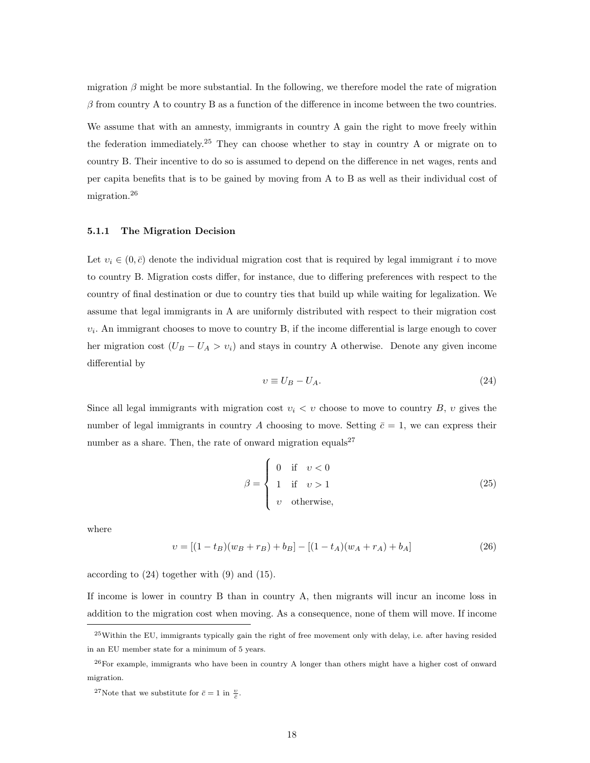migration  $\beta$  might be more substantial. In the following, we therefore model the rate of migration  $\beta$  from country A to country B as a function of the difference in income between the two countries. We assume that with an amnesty, immigrants in country A gain the right to move freely within the federation immediately.<sup>25</sup> They can choose whether to stay in country A or migrate on to

country B. Their incentive to do so is assumed to depend on the difference in net wages, rents and per capita benefits that is to be gained by moving from A to B as well as their individual cost of migration.<sup>26</sup>

#### 5.1.1 The Migration Decision

Let  $v_i \in (0, \bar{c})$  denote the individual migration cost that is required by legal immigrant i to move to country B. Migration costs differ, for instance, due to differing preferences with respect to the country of final destination or due to country ties that build up while waiting for legalization. We assume that legal immigrants in A are uniformly distributed with respect to their migration cost  $v_i$ . An immigrant chooses to move to country B, if the income differential is large enough to cover her migration cost  $(U_B - U_A > v_i)$  and stays in country A otherwise. Denote any given income differential by

$$
v \equiv U_B - U_A. \tag{24}
$$

Since all legal immigrants with migration cost  $v_i < v$  choose to move to country B, v gives the number of legal immigrants in country A choosing to move. Setting  $\bar{c} = 1$ , we can express their number as a share. Then, the rate of onward migration equals<sup>27</sup>

$$
\beta = \begin{cases}\n0 & \text{if } v < 0 \\
1 & \text{if } v > 1 \\
v & \text{otherwise,} \n\end{cases}
$$
\n(25)

where

$$
v = [(1 - t_B)(w_B + r_B) + b_B] - [(1 - t_A)(w_A + r_A) + b_A]
$$
\n(26)

according to (24) together with (9) and (15).

If income is lower in country B than in country A, then migrants will incur an income loss in addition to the migration cost when moving. As a consequence, none of them will move. If income

<sup>25</sup>Within the EU, immigrants typically gain the right of free movement only with delay, i.e. after having resided in an EU member state for a minimum of 5 years.

 $^{26}$ For example, immigrants who have been in country A longer than others might have a higher cost of onward migration.

<sup>&</sup>lt;sup>27</sup>Note that we substitute for  $\bar{c} = 1$  in  $\frac{v}{\bar{c}}$ .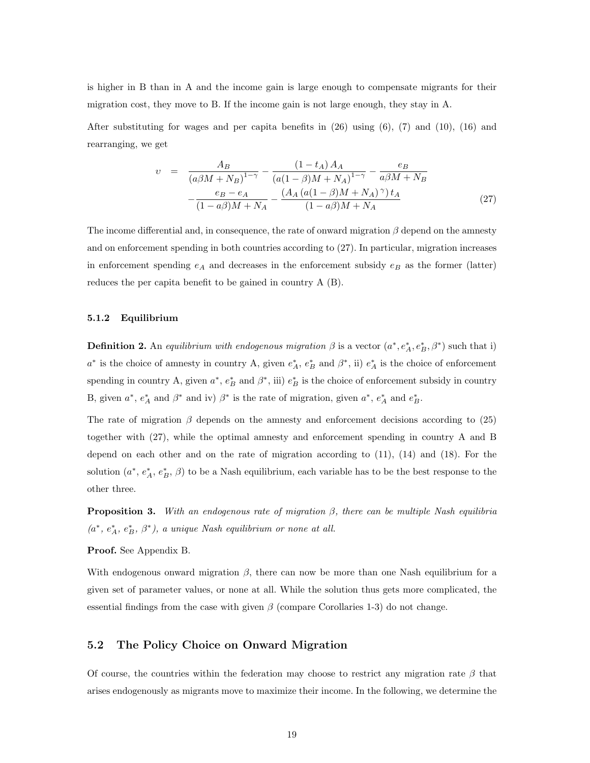is higher in B than in A and the income gain is large enough to compensate migrants for their migration cost, they move to B. If the income gain is not large enough, they stay in A.

After substituting for wages and per capita benefits in  $(26)$  using  $(6)$ ,  $(7)$  and  $(10)$ ,  $(16)$  and rearranging, we get

$$
v = \frac{A_B}{(a\beta M + N_B)^{1-\gamma}} - \frac{(1 - t_A)A_A}{(a(1 - \beta)M + N_A)^{1-\gamma}} - \frac{e_B}{a\beta M + N_B} - \frac{e_B - e_A}{(1 - a\beta)M + N_A} - \frac{(A_A (a(1 - \beta)M + N_A)^{\gamma})t_A}{(1 - a\beta)M + N_A}
$$
(27)

The income differential and, in consequence, the rate of onward migration  $\beta$  depend on the amnesty and on enforcement spending in both countries according to (27). In particular, migration increases in enforcement spending  $e_A$  and decreases in the enforcement subsidy  $e_B$  as the former (latter) reduces the per capita benefit to be gained in country A (B).

#### 5.1.2 Equilibrium

**Definition 2.** An equilibrium with endogenous migration  $\beta$  is a vector  $(a^*, e_A^*, e_B^*, \beta^*)$  such that i)  $a^*$  is the choice of amnesty in country A, given  $e_A^*$ ,  $e_B^*$  and  $\beta^*$ , ii)  $e_A^*$  is the choice of enforcement spending in country A, given  $a^*$ ,  $e_B^*$  and  $\beta^*$ , iii)  $e_B^*$  is the choice of enforcement subsidy in country B, given  $a^*, e_A^*$  and  $\beta^*$  and iv)  $\beta^*$  is the rate of migration, given  $a^*, e_A^*$  and  $e_B^*$ .

The rate of migration  $\beta$  depends on the amnesty and enforcement decisions according to (25) together with (27), while the optimal amnesty and enforcement spending in country A and B depend on each other and on the rate of migration according to (11), (14) and (18). For the solution  $(a^*, e_A^*, e_B^*, \beta)$  to be a Nash equilibrium, each variable has to be the best response to the other three.

**Proposition 3.** With an endogenous rate of migration  $\beta$ , there can be multiple Nash equilibria  $(a^*, e^*_A, e^*_B, \beta^*)$ , a unique Nash equilibrium or none at all.

Proof. See Appendix B.

With endogenous onward migration  $\beta$ , there can now be more than one Nash equilibrium for a given set of parameter values, or none at all. While the solution thus gets more complicated, the essential findings from the case with given  $\beta$  (compare Corollaries 1-3) do not change.

#### 5.2 The Policy Choice on Onward Migration

Of course, the countries within the federation may choose to restrict any migration rate  $\beta$  that arises endogenously as migrants move to maximize their income. In the following, we determine the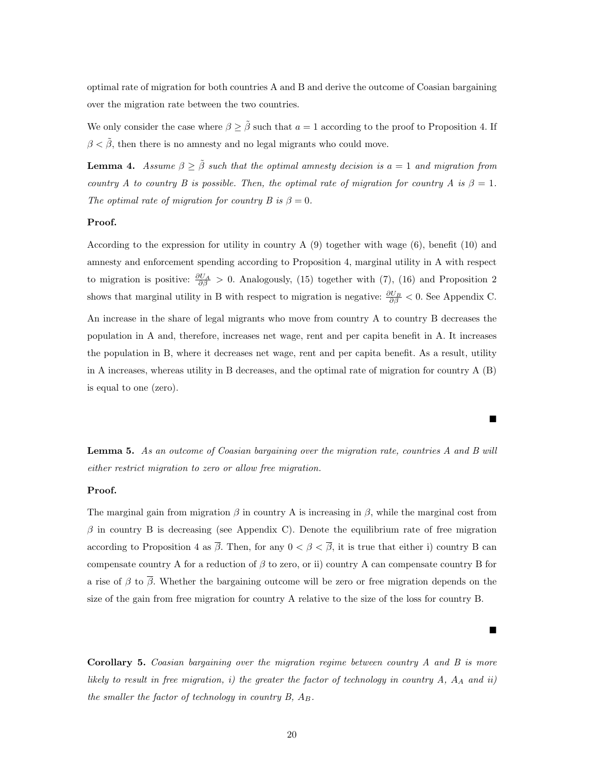optimal rate of migration for both countries A and B and derive the outcome of Coasian bargaining over the migration rate between the two countries.

We only consider the case where  $\beta \geq \tilde{\beta}$  such that  $a = 1$  according to the proof to Proposition 4. If  $\beta < \tilde{\beta}$ , then there is no amnesty and no legal migrants who could move.

**Lemma 4.** Assume  $\beta \geq \tilde{\beta}$  such that the optimal amnesty decision is a = 1 and migration from country A to country B is possible. Then, the optimal rate of migration for country A is  $\beta = 1$ . The optimal rate of migration for country B is  $\beta = 0$ .

#### Proof.

According to the expression for utility in country A (9) together with wage (6), benefit (10) and amnesty and enforcement spending according to Proposition 4, marginal utility in A with respect to migration is positive:  $\frac{\partial U_A}{\partial \beta} > 0$ . Analogously, (15) together with (7), (16) and Proposition 2 shows that marginal utility in B with respect to migration is negative:  $\frac{\partial U_B}{\partial \beta} < 0$ . See Appendix C. An increase in the share of legal migrants who move from country A to country B decreases the population in A and, therefore, increases net wage, rent and per capita benefit in A. It increases the population in B, where it decreases net wage, rent and per capita benefit. As a result, utility in A increases, whereas utility in B decreases, and the optimal rate of migration for country A (B) is equal to one (zero).

Lemma 5. As an outcome of Coasian bargaining over the migration rate, countries A and B will either restrict migration to zero or allow free migration.

 $\blacksquare$ 

 $\blacksquare$ 

#### Proof.

The marginal gain from migration  $\beta$  in country A is increasing in  $\beta$ , while the marginal cost from  $\beta$  in country B is decreasing (see Appendix C). Denote the equilibrium rate of free migration according to Proposition 4 as  $\bar{\beta}$ . Then, for any  $0 < \beta < \bar{\beta}$ , it is true that either i) country B can compensate country A for a reduction of  $\beta$  to zero, or ii) country A can compensate country B for a rise of  $\beta$  to  $\overline{\beta}$ . Whether the bargaining outcome will be zero or free migration depends on the size of the gain from free migration for country A relative to the size of the loss for country B.

**Corollary 5.** Coasian bargaining over the migration regime between country  $A$  and  $B$  is more likely to result in free migration, i) the greater the factor of technology in country  $A$ ,  $A_A$  and ii) the smaller the factor of technology in country  $B, A_B$ .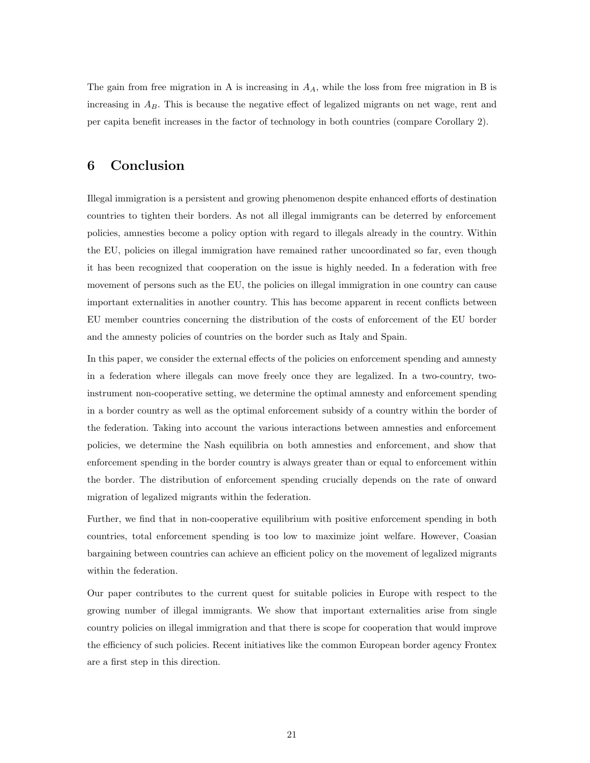The gain from free migration in A is increasing in  $A<sub>A</sub>$ , while the loss from free migration in B is increasing in  $A_B$ . This is because the negative effect of legalized migrants on net wage, rent and per capita benefit increases in the factor of technology in both countries (compare Corollary 2).

## 6 Conclusion

Illegal immigration is a persistent and growing phenomenon despite enhanced efforts of destination countries to tighten their borders. As not all illegal immigrants can be deterred by enforcement policies, amnesties become a policy option with regard to illegals already in the country. Within the EU, policies on illegal immigration have remained rather uncoordinated so far, even though it has been recognized that cooperation on the issue is highly needed. In a federation with free movement of persons such as the EU, the policies on illegal immigration in one country can cause important externalities in another country. This has become apparent in recent conflicts between EU member countries concerning the distribution of the costs of enforcement of the EU border and the amnesty policies of countries on the border such as Italy and Spain.

In this paper, we consider the external effects of the policies on enforcement spending and amnesty in a federation where illegals can move freely once they are legalized. In a two-country, twoinstrument non-cooperative setting, we determine the optimal amnesty and enforcement spending in a border country as well as the optimal enforcement subsidy of a country within the border of the federation. Taking into account the various interactions between amnesties and enforcement policies, we determine the Nash equilibria on both amnesties and enforcement, and show that enforcement spending in the border country is always greater than or equal to enforcement within the border. The distribution of enforcement spending crucially depends on the rate of onward migration of legalized migrants within the federation.

Further, we find that in non-cooperative equilibrium with positive enforcement spending in both countries, total enforcement spending is too low to maximize joint welfare. However, Coasian bargaining between countries can achieve an efficient policy on the movement of legalized migrants within the federation.

Our paper contributes to the current quest for suitable policies in Europe with respect to the growing number of illegal immigrants. We show that important externalities arise from single country policies on illegal immigration and that there is scope for cooperation that would improve the efficiency of such policies. Recent initiatives like the common European border agency Frontex are a first step in this direction.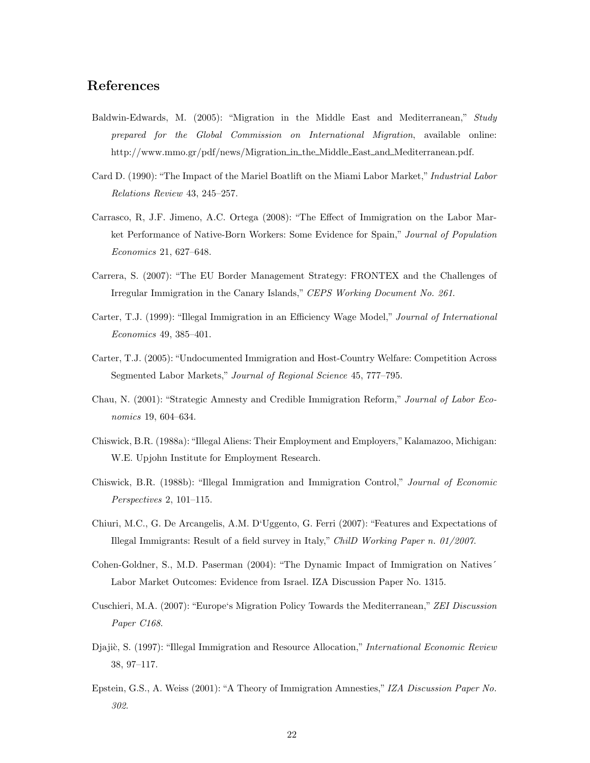## References

- Baldwin-Edwards, M. (2005): "Migration in the Middle East and Mediterranean," Study prepared for the Global Commission on International Migration, available online: http://www.mmo.gr/pdf/news/Migration in the Middle East and Mediterranean.pdf.
- Card D. (1990): "The Impact of the Mariel Boatlift on the Miami Labor Market," Industrial Labor Relations Review 43, 245–257.
- Carrasco, R, J.F. Jimeno, A.C. Ortega (2008): "The Effect of Immigration on the Labor Market Performance of Native-Born Workers: Some Evidence for Spain," Journal of Population Economics 21, 627–648.
- Carrera, S. (2007): "The EU Border Management Strategy: FRONTEX and the Challenges of Irregular Immigration in the Canary Islands," CEPS Working Document No. 261.
- Carter, T.J. (1999): "Illegal Immigration in an Efficiency Wage Model," Journal of International Economics 49, 385–401.
- Carter, T.J. (2005): "Undocumented Immigration and Host-Country Welfare: Competition Across Segmented Labor Markets," Journal of Regional Science 45, 777–795.
- Chau, N. (2001): "Strategic Amnesty and Credible Immigration Reform," Journal of Labor Economics 19, 604–634.
- Chiswick, B.R. (1988a): "Illegal Aliens: Their Employment and Employers,"Kalamazoo, Michigan: W.E. Upjohn Institute for Employment Research.
- Chiswick, B.R. (1988b): "Illegal Immigration and Immigration Control," Journal of Economic Perspectives 2, 101–115.
- Chiuri, M.C., G. De Arcangelis, A.M. D'Uggento, G. Ferri (2007): "Features and Expectations of Illegal Immigrants: Result of a field survey in Italy," ChilD Working Paper n. 01/2007.
- Cohen-Goldner, S., M.D. Paserman (2004): "The Dynamic Impact of Immigration on Natives´ Labor Market Outcomes: Evidence from Israel. IZA Discussion Paper No. 1315.
- Cuschieri, M.A. (2007): "Europe's Migration Policy Towards the Mediterranean," ZEI Discussion Paper C168.
- Djajič, S. (1997): "Illegal Immigration and Resource Allocation," International Economic Review 38, 97–117.
- Epstein, G.S., A. Weiss (2001): "A Theory of Immigration Amnesties," IZA Discussion Paper No. 302.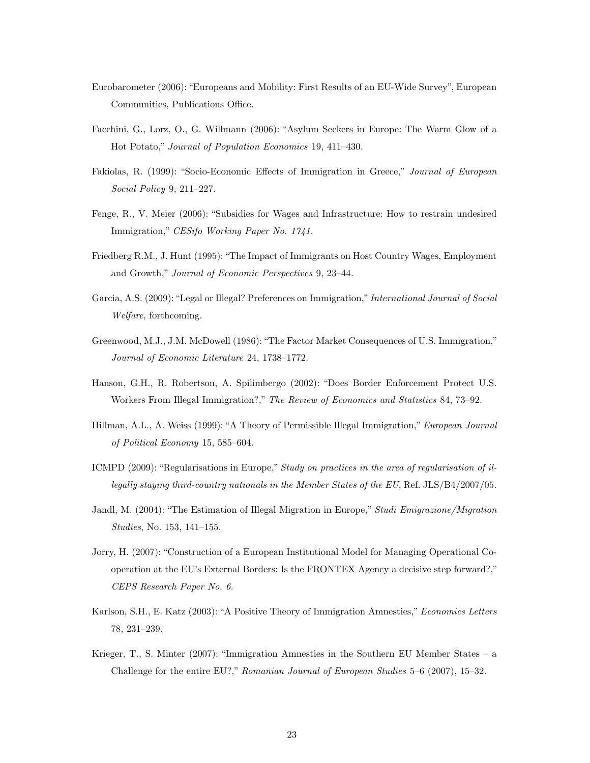- Eurobarometer (2006): "Europeans and Mobility: First Results of an EU-Wide Survey", European Communities, Publications Office.
- Facchini, G., Lorz, O., G. Willmann (2006): "Asylum Seekers in Europe: The Warm Glow of a Hot Potato," Journal of Population Economics 19, 411–430.
- Fakiolas, R. (1999): "Socio-Economic Effects of Immigration in Greece," Journal of European Social Policy 9, 211–227.
- Fenge, R., V. Meier (2006): "Subsidies for Wages and Infrastructure: How to restrain undesired Immigration," CESifo Working Paper No. 1741.
- Friedberg R.M., J. Hunt (1995): "The Impact of Immigrants on Host Country Wages, Employment and Growth," Journal of Economic Perspectives 9, 23–44.
- Garcia, A.S. (2009): "Legal or Illegal? Preferences on Immigration," International Journal of Social Welfare, forthcoming.
- Greenwood, M.J., J.M. McDowell (1986): "The Factor Market Consequences of U.S. Immigration," Journal of Economic Literature 24, 1738–1772.
- Hanson, G.H., R. Robertson, A. Spilimbergo (2002): "Does Border Enforcement Protect U.S. Workers From Illegal Immigration?," The Review of Economics and Statistics 84, 73–92.
- Hillman, A.L., A. Weiss (1999): "A Theory of Permissible Illegal Immigration," European Journal of Political Economy 15, 585–604.
- ICMPD (2009): "Regularisations in Europe," Study on practices in the area of regularisation of illegally staying third-country nationals in the Member States of the EU, Ref. JLS/B4/2007/05.
- Jandl, M. (2004): "The Estimation of Illegal Migration in Europe," Studi Emigrazione/Migration Studies, No. 153, 141–155.
- Jorry, H. (2007): "Construction of a European Institutional Model for Managing Operational Cooperation at the EU's External Borders: Is the FRONTEX Agency a decisive step forward?," CEPS Research Paper No. 6.
- Karlson, S.H., E. Katz (2003): "A Positive Theory of Immigration Amnesties," Economics Letters 78, 231–239.
- Krieger, T., S. Minter (2007): "Immigration Amnesties in the Southern EU Member States a Challenge for the entire EU?," Romanian Journal of European Studies 5–6 (2007), 15–32.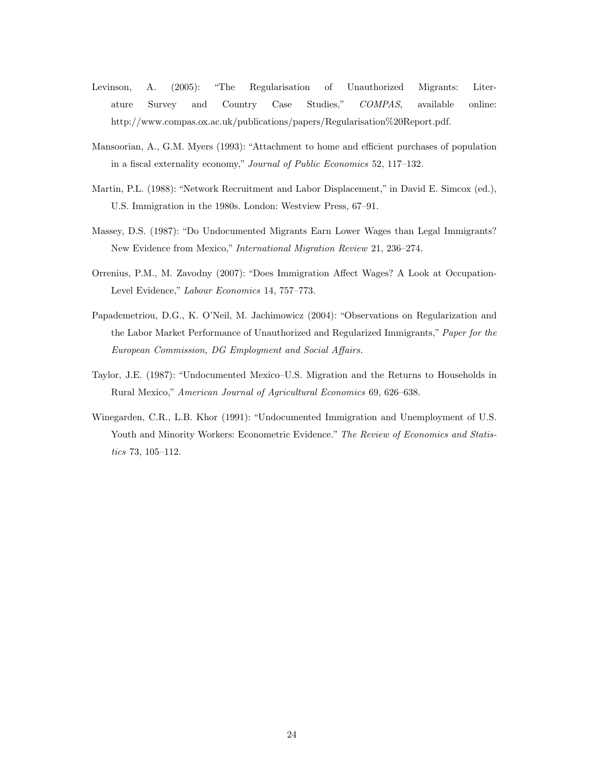- Levinson, A. (2005): "The Regularisation of Unauthorized Migrants: Literature Survey and Country Case Studies," COMPAS, available online: http://www.compas.ox.ac.uk/publications/papers/Regularisation%20Report.pdf.
- Mansoorian, A., G.M. Myers (1993): "Attachment to home and efficient purchases of population in a fiscal externality economy," Journal of Public Economics 52, 117–132.
- Martin, P.L. (1988): "Network Recruitment and Labor Displacement," in David E. Simcox (ed.), U.S. Immigration in the 1980s. London: Westview Press, 67–91.
- Massey, D.S. (1987): "Do Undocumented Migrants Earn Lower Wages than Legal Immigrants? New Evidence from Mexico," International Migration Review 21, 236–274.
- Orrenius, P.M., M. Zavodny (2007): "Does Immigration Affect Wages? A Look at Occupation-Level Evidence," Labour Economics 14, 757–773.
- Papademetriou, D.G., K. O'Neil, M. Jachimowicz (2004): "Observations on Regularization and the Labor Market Performance of Unauthorized and Regularized Immigrants," Paper for the European Commission, DG Employment and Social Affairs.
- Taylor, J.E. (1987): "Undocumented Mexico–U.S. Migration and the Returns to Households in Rural Mexico," American Journal of Agricultural Economics 69, 626–638.
- Winegarden, C.R., L.B. Khor (1991): "Undocumented Immigration and Unemployment of U.S. Youth and Minority Workers: Econometric Evidence." The Review of Economics and Statistics 73, 105–112.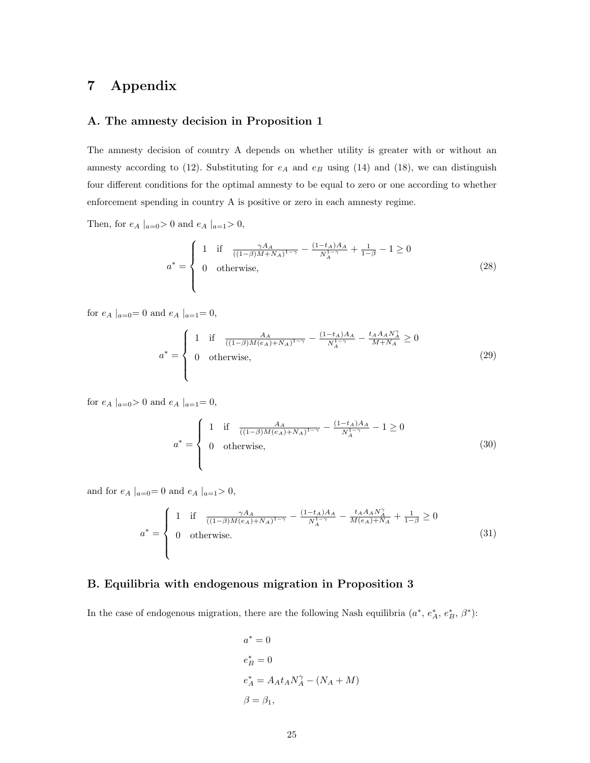## 7 Appendix

#### A. The amnesty decision in Proposition 1

The amnesty decision of country A depends on whether utility is greater with or without an amnesty according to (12). Substituting for  $e_A$  and  $e_B$  using (14) and (18), we can distinguish four different conditions for the optimal amnesty to be equal to zero or one according to whether enforcement spending in country A is positive or zero in each amnesty regime.

Then, for  $e_A |_{a=0} > 0$  and  $e_A |_{a=1} > 0$ ,

$$
a^* = \begin{cases} 1 & \text{if } \frac{\gamma A_A}{((1-\beta)M+N_A)^{1-\gamma}} - \frac{(1-t_A)A_A}{N_A^{1-\gamma}} + \frac{1}{1-\beta} - 1 \ge 0\\ 0 & \text{otherwise,} \end{cases}
$$
(28)

for  $e_A |_{a=0} = 0$  and  $e_A |_{a=1} = 0$ ,

$$
a^* = \begin{cases} 1 & \text{if } \frac{A_A}{((1-\beta)M(e_A)+NA)^{1-\gamma}} - \frac{(1-t_A)A_A}{N_A^{1-\gamma}} - \frac{t_A A_A N_A^{\gamma}}{M+N_A} \ge 0\\ 0 & \text{otherwise,} \end{cases}
$$
(29)

for  $e_A |_{a=0} > 0$  and  $e_A |_{a=1} = 0$ ,

$$
a^* = \begin{cases} 1 & \text{if } \frac{A_A}{((1-\beta)M(e_A)+N_A)^{1-\gamma}} - \frac{(1-t_A)A_A}{N_A^{1-\gamma}} - 1 \ge 0\\ 0 & \text{otherwise,} \end{cases}
$$
(30)

and for  $e_A |_{a=0} = 0$  and  $e_A |_{a=1} > 0$ ,

$$
a^* = \begin{cases} 1 & \text{if } \frac{\gamma A_A}{((1-\beta)M(e_A)+N_A)^{1-\gamma}} - \frac{(1-t_A)A_A}{N_A^{1-\gamma}} - \frac{t_A A_A N_A^{\gamma}}{M(e_A)+N_A} + \frac{1}{1-\beta} \ge 0\\ 0 & \text{otherwise.} \end{cases}
$$
(31)

#### B. Equilibria with endogenous migration in Proposition 3

In the case of endogenous migration, there are the following Nash equilibria  $(a^*, e_A^*, e_B^*, \beta^*)$ :

$$
a^* = 0
$$
  
\n
$$
e^*_B = 0
$$
  
\n
$$
e^*_A = A_A t_A N_A^{\gamma} - (N_A + M)
$$
  
\n
$$
\beta = \beta_1,
$$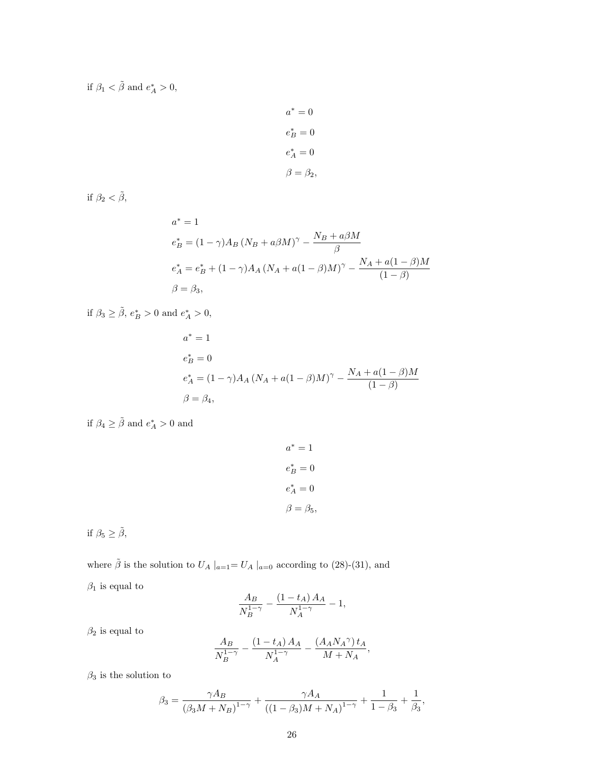if  $\beta_1 < \tilde{\beta}$  and  $e_A^* > 0$ ,

$$
a^* = 0
$$

$$
e^*_B = 0
$$

$$
e^*_A = 0
$$

$$
\beta = \beta_2
$$

if  $\beta_2 < \tilde{\beta}$ ,

$$
a^* = 1
$$
  
\n
$$
e^*_B = (1 - \gamma)A_B (N_B + a\beta M)^\gamma - \frac{N_B + a\beta M}{\beta}
$$
  
\n
$$
e^*_A = e^*_B + (1 - \gamma)A_A (N_A + a(1 - \beta)M)^\gamma - \frac{N_A + a(1 - \beta)M}{(1 - \beta)}
$$
  
\n
$$
\beta = \beta_3,
$$

if  $\beta_3 \geq \tilde{\beta}$ ,  $e_B^* > 0$  and  $e_A^* > 0$ ,

$$
a^* = 1
$$
  
\n
$$
e^*_B = 0
$$
  
\n
$$
e^*_A = (1 - \gamma)A_A (N_A + a(1 - \beta)M)^\gamma - \frac{N_A + a(1 - \beta)M}{(1 - \beta)}
$$
  
\n
$$
\beta = \beta_4,
$$

if 
$$
\beta_4 \geq \tilde{\beta}
$$
 and  $e^*_A > 0$  and

$$
a^* = 1
$$

$$
e^*_B = 0
$$

$$
e^*_A = 0
$$

$$
\beta = \beta_5
$$

if  $\beta_5 \geq \tilde{\beta} ,$ 

where  $\tilde{\beta}$  is the solution to  $U_A |_{a=1} = U_A |_{a=0}$  according to (28)-(31), and  $\beta_1$  is equal to

$$
\frac{A_B}{N_B^{1-\gamma}} - \frac{(1 - t_A) A_A}{N_A^{1-\gamma}} - 1,
$$

 $\beta_2$  is equal to

$$
\frac{A_B}{N_B^{1-\gamma}}-\frac{\left(1-t_A\right)A_A}{N_A^{1-\gamma}}-\frac{\left(A_A N_A{}^{\gamma}\right) t_A}{M+N_A},
$$

 $\beta_3$  is the solution to

$$
\beta_3=\frac{\gamma A_B}{\left(\beta_3 M+N_B\right)^{1-\gamma}}+\frac{\gamma A_A}{\left(\left(1-\beta_3\right)M+N_A\right)^{1-\gamma}}+\frac{1}{1-\beta_3}+\frac{1}{\beta_3},
$$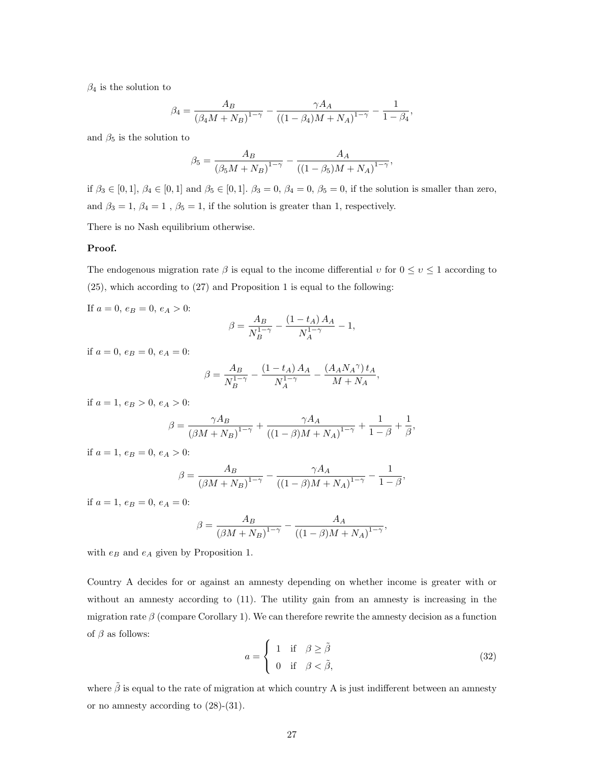$\beta_4$  is the solution to

$$
\beta_4 = \frac{A_B}{(\beta_4 M + N_B)^{1-\gamma}} - \frac{\gamma A_A}{((1-\beta_4)M + N_A)^{1-\gamma}} - \frac{1}{1-\beta_4},
$$

and  $\beta_5$  is the solution to

$$
\beta_5 = \frac{A_B}{(\beta_5 M + N_B)^{1-\gamma}} - \frac{A_A}{((1-\beta_5)M + N_A)^{1-\gamma}},
$$

if  $\beta_3 \in [0,1], \beta_4 \in [0,1]$  and  $\beta_5 \in [0,1].$   $\beta_3 = 0, \beta_4 = 0, \beta_5 = 0$ , if the solution is smaller than zero, and  $\beta_3=1,\,\beta_4=1$  ,  $\beta_5=1,$  if the solution is greater than 1, respectively.

There is no Nash equilibrium otherwise.

#### Proof.

The endogenous migration rate  $\beta$  is equal to the income differential  $v$  for  $0 \le v \le 1$  according to (25), which according to (27) and Proposition 1 is equal to the following:

If  $a = 0, e_B = 0, e_A > 0$ :

$$
\beta = \frac{A_B}{N_B^{1-\gamma}} - \frac{\left(1 - t_A\right)A_A}{N_A^{1-\gamma}} - 1,
$$

if  $a = 0$ ,  $e_B = 0$ ,  $e_A = 0$ :

$$
\beta = \frac{A_B}{N_B^{1-\gamma}} - \frac{\left(1 - t_A\right)A_A}{N_A^{1-\gamma}} - \frac{\left(A_A N_A{}^{\gamma}\right) t_A}{M + N_A},
$$

if  $a = 1, e_B > 0, e_A > 0$ :

$$
\beta = \frac{\gamma A_B}{(\beta M + N_B)^{1-\gamma}} + \frac{\gamma A_A}{((1-\beta)M + N_A)^{1-\gamma}} + \frac{1}{1-\beta} + \frac{1}{\beta},
$$

if  $a = 1, e_B = 0, e_A > 0$ :

$$
\beta = \frac{A_B}{(\beta M + N_B)^{1-\gamma}} - \frac{\gamma A_A}{((1-\beta)M + N_A)^{1-\gamma}} - \frac{1}{1-\beta},
$$

if  $a = 1, e_B = 0, e_A = 0$ :

$$
\beta = \frac{A_B}{(\beta M + N_B)^{1-\gamma}} - \frac{A_A}{((1-\beta)M + N_A)^{1-\gamma}},
$$

with  $e_B$  and  $e_A$  given by Proposition 1.

Country A decides for or against an amnesty depending on whether income is greater with or without an amnesty according to (11). The utility gain from an amnesty is increasing in the migration rate  $\beta$  (compare Corollary 1). We can therefore rewrite the amnesty decision as a function of  $\beta$  as follows:

$$
a = \begin{cases} 1 & \text{if } \beta \ge \tilde{\beta} \\ 0 & \text{if } \beta < \tilde{\beta}, \end{cases}
$$
 (32)

where  $\tilde{\beta}$  is equal to the rate of migration at which country A is just indifferent between an amnesty or no amnesty according to (28)-(31).